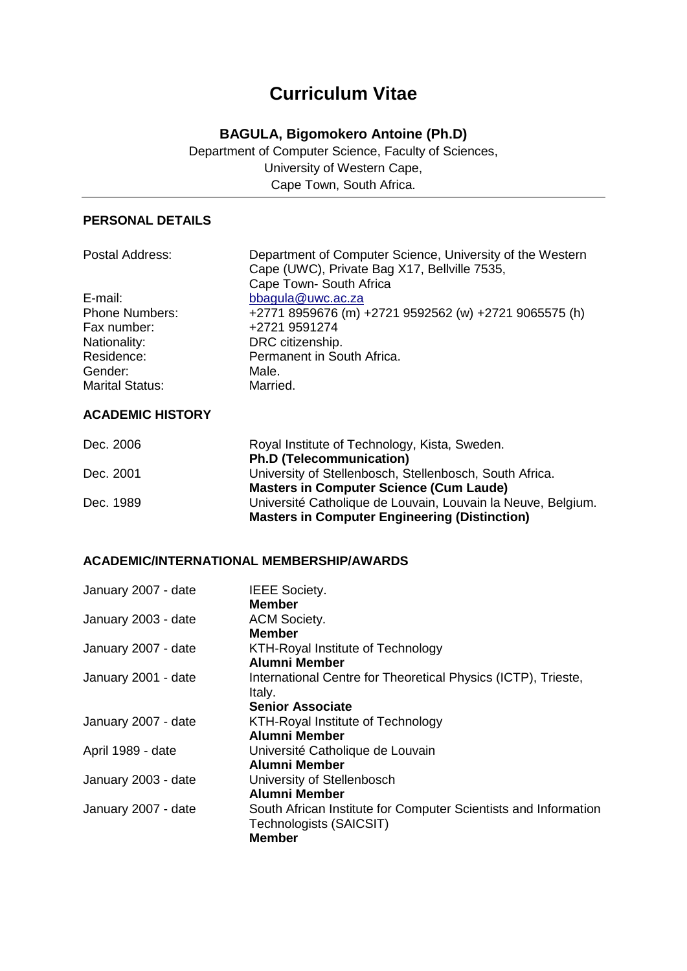# **Curriculum Vitae**

# **BAGULA, Bigomokero Antoine (Ph.D)**

Department of Computer Science, Faculty of Sciences, University of Western Cape, Cape Town, South Africa.

# **PERSONAL DETAILS**

| Department of Computer Science, University of the Western |
|-----------------------------------------------------------|
| Cape (UWC), Private Bag X17, Bellville 7535,              |
| Cape Town- South Africa                                   |
| bbagula@uwc.ac.za                                         |
| +2771 8959676 (m) +2721 9592562 (w) +2721 9065575 (h)     |
| +2721 9591274                                             |
| DRC citizenship.                                          |
| Permanent in South Africa.                                |
| Male.                                                     |
| Married.                                                  |
|                                                           |

# **ACADEMIC HISTORY**

| Dec. 2006 | Royal Institute of Technology, Kista, Sweden.                |
|-----------|--------------------------------------------------------------|
|           | <b>Ph.D (Telecommunication)</b>                              |
| Dec. 2001 | University of Stellenbosch, Stellenbosch, South Africa.      |
|           | <b>Masters in Computer Science (Cum Laude)</b>               |
| Dec. 1989 | Université Catholique de Louvain, Louvain la Neuve, Belgium. |
|           | <b>Masters in Computer Engineering (Distinction)</b>         |

#### **ACADEMIC/INTERNATIONAL MEMBERSHIP/AWARDS**

| January 2007 - date | <b>IEEE Society.</b>                                            |
|---------------------|-----------------------------------------------------------------|
|                     | Member                                                          |
| January 2003 - date | <b>ACM Society.</b>                                             |
|                     | Member                                                          |
| January 2007 - date | KTH-Royal Institute of Technology                               |
|                     | Alumni Member                                                   |
| January 2001 - date | International Centre for Theoretical Physics (ICTP), Trieste,   |
|                     | Italy.                                                          |
|                     | <b>Senior Associate</b>                                         |
| January 2007 - date | KTH-Royal Institute of Technology                               |
|                     | Alumni Member                                                   |
| April 1989 - date   | Université Catholique de Louvain                                |
|                     | Alumni Member                                                   |
| January 2003 - date | University of Stellenbosch                                      |
|                     | Alumni Member                                                   |
| January 2007 - date | South African Institute for Computer Scientists and Information |
|                     | Technologists (SAICSIT)                                         |
|                     | <b>Member</b>                                                   |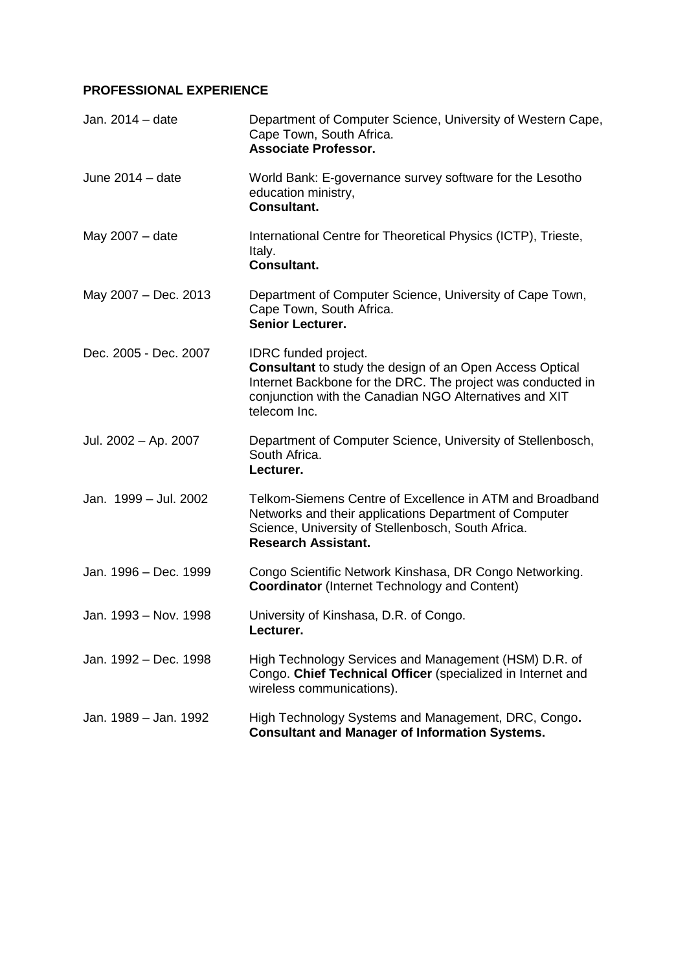# **PROFESSIONAL EXPERIENCE**

| Jan. 2014 - date      | Department of Computer Science, University of Western Cape,<br>Cape Town, South Africa.<br><b>Associate Professor.</b>                                                                                                           |
|-----------------------|----------------------------------------------------------------------------------------------------------------------------------------------------------------------------------------------------------------------------------|
| June $2014 -$ date    | World Bank: E-governance survey software for the Lesotho<br>education ministry,<br><b>Consultant.</b>                                                                                                                            |
| May 2007 - date       | International Centre for Theoretical Physics (ICTP), Trieste,<br>Italy.<br><b>Consultant.</b>                                                                                                                                    |
| May 2007 - Dec. 2013  | Department of Computer Science, University of Cape Town,<br>Cape Town, South Africa.<br>Senior Lecturer.                                                                                                                         |
| Dec. 2005 - Dec. 2007 | <b>IDRC</b> funded project.<br>Consultant to study the design of an Open Access Optical<br>Internet Backbone for the DRC. The project was conducted in<br>conjunction with the Canadian NGO Alternatives and XIT<br>telecom Inc. |
| Jul. 2002 - Ap. 2007  | Department of Computer Science, University of Stellenbosch,<br>South Africa.<br>Lecturer.                                                                                                                                        |
| Jan. 1999 - Jul. 2002 | Telkom-Siemens Centre of Excellence in ATM and Broadband<br>Networks and their applications Department of Computer<br>Science, University of Stellenbosch, South Africa.<br><b>Research Assistant.</b>                           |
| Jan. 1996 - Dec. 1999 | Congo Scientific Network Kinshasa, DR Congo Networking.<br><b>Coordinator</b> (Internet Technology and Content)                                                                                                                  |
| Jan. 1993 - Nov. 1998 | University of Kinshasa, D.R. of Congo.<br>Lecturer.                                                                                                                                                                              |
| Jan. 1992 - Dec. 1998 | High Technology Services and Management (HSM) D.R. of<br>Congo. Chief Technical Officer (specialized in Internet and<br>wireless communications).                                                                                |
| Jan. 1989 – Jan. 1992 | High Technology Systems and Management, DRC, Congo.<br><b>Consultant and Manager of Information Systems.</b>                                                                                                                     |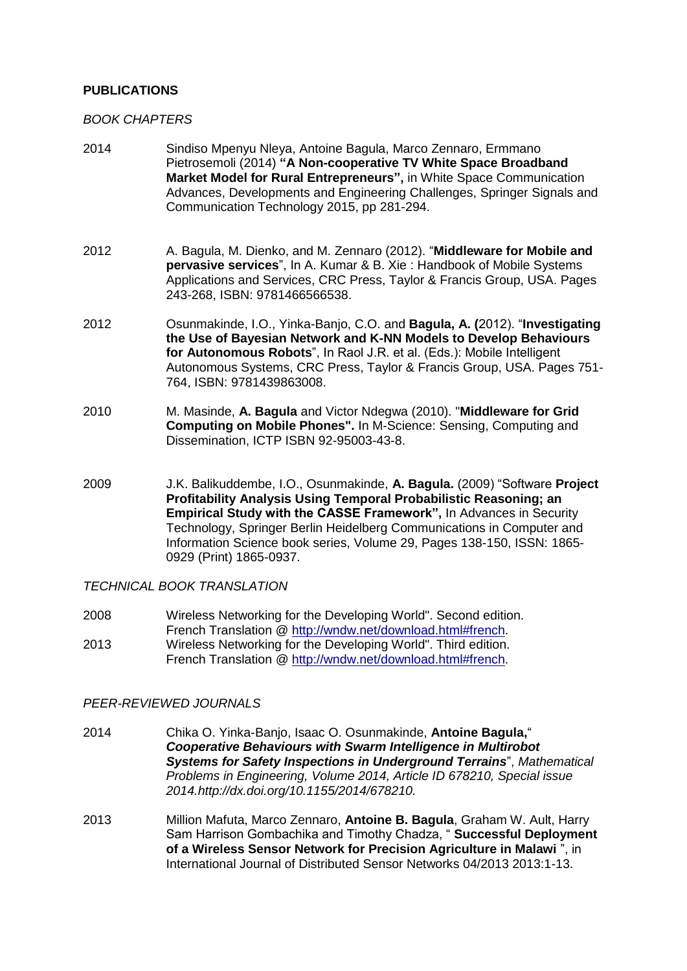### **PUBLICATIONS**

### *BOOK CHAPTERS*

- 2014 Sindiso Mpenyu Nleya, Antoine Bagula, Marco Zennaro, Ermmano Pietrosemoli (2014) **"A Non-cooperative TV White Space Broadband Market Model for Rural Entrepreneurs",** in White Space Communication Advances, Developments and Engineering Challenges, Springer Signals and Communication Technology 2015, pp 281-294.
- 2012 A. Bagula, M. Dienko, and M. Zennaro (2012). "**Middleware for Mobile and pervasive services**", In A. Kumar & B. Xie : Handbook of Mobile Systems Applications and Services, CRC Press, Taylor & Francis Group, USA. Pages 243-268, ISBN: 9781466566538.
- 2012 Osunmakinde, I.O., Yinka-Banjo, C.O. and **Bagula, A. (**2012). "**Investigating the Use of Bayesian Network and K-NN Models to Develop Behaviours for Autonomous Robots**", In Raol J.R. et al. (Eds.): Mobile Intelligent Autonomous Systems, CRC Press, Taylor & Francis Group, USA. Pages 751- 764, ISBN: 9781439863008.
- 2010 M. Masinde, **A. Bagula** and Victor Ndegwa (2010). "**Middleware for Grid Computing on Mobile Phones".** In M-Science: Sensing, Computing and Dissemination, ICTP ISBN 92-95003-43-8.
- 2009 J.K. Balikuddembe, I.O., Osunmakinde, **A. Bagula.** (2009) "Software **Project Profitability Analysis Using Temporal Probabilistic Reasoning; an Empirical Study with the CASSE Framework",** In Advances in Security Technology, Springer Berlin Heidelberg Communications in Computer and Information Science book series, Volume 29, Pages 138-150, ISSN: 1865- 0929 (Print) 1865-0937.

### *TECHNICAL BOOK TRANSLATION*

2008 Wireless Networking for the Developing World". Second edition. French Translation @ [http://wndw.net/download.html#french.](http://wndw.net/download.html#french) 2013 Wireless Networking for the Developing World". Third edition. French Translation @ [http://wndw.net/download.html#french.](http://wndw.net/download.html#french)

### *PEER-REVIEWED JOURNALS*

- 2014 Chika O. Yinka-Banjo, Isaac O. Osunmakinde, **Antoine Bagula,**" *Cooperative Behaviours with Swarm Intelligence in Multirobot Systems for Safety Inspections in Underground Terrains*", *Mathematical Problems in Engineering, Volume 2014, Article ID 678210, Special issue 2014.http://dx.doi.org/10.1155/2014/678210.*
- 2013 Million Mafuta, Marco Zennaro, **Antoine B. Bagula**, Graham W. Ault, Harry Sam Harrison Gombachika and Timothy Chadza, " **Successful Deployment of a Wireless Sensor Network for Precision Agriculture in Malawi** ", in International Journal of Distributed Sensor Networks 04/2013 2013:1-13.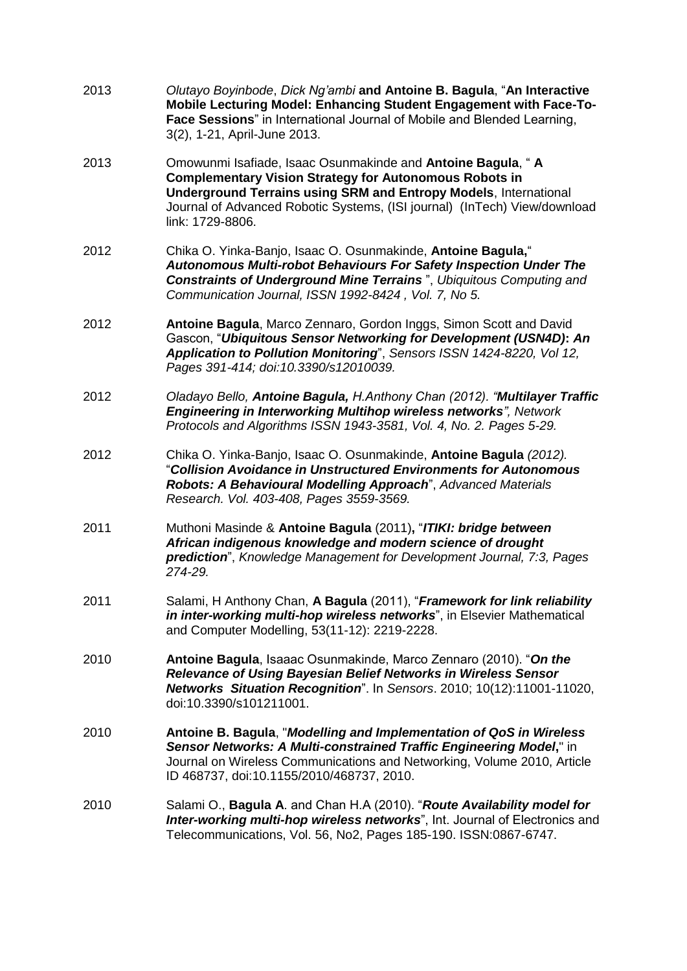| 2013 | Olutayo Boyinbode, Dick Ng'ambi and Antoine B. Bagula, "An Interactive<br>Mobile Lecturing Model: Enhancing Student Engagement with Face-To-<br>Face Sessions" in International Journal of Mobile and Blended Learning,<br>3(2), 1-21, April-June 2013.                                                  |
|------|----------------------------------------------------------------------------------------------------------------------------------------------------------------------------------------------------------------------------------------------------------------------------------------------------------|
| 2013 | Omowunmi Isafiade, Isaac Osunmakinde and Antoine Bagula, "A<br><b>Complementary Vision Strategy for Autonomous Robots in</b><br><b>Underground Terrains using SRM and Entropy Models, International</b><br>Journal of Advanced Robotic Systems, (ISI journal) (InTech) View/download<br>link: 1729-8806. |
| 2012 | Chika O. Yinka-Banjo, Isaac O. Osunmakinde, Antoine Bagula,"<br>Autonomous Multi-robot Behaviours For Safety Inspection Under The<br><b>Constraints of Underground Mine Terrains</b> ", Ubiquitous Computing and<br>Communication Journal, ISSN 1992-8424, Vol. 7, No 5.                                 |
| 2012 | Antoine Bagula, Marco Zennaro, Gordon Inggs, Simon Scott and David<br>Gascon, "Ubiquitous Sensor Networking for Development (USN4D): An<br>Application to Pollution Monitoring", Sensors ISSN 1424-8220, Vol 12,<br>Pages 391-414; doi:10.3390/s12010039.                                                |
| 2012 | Oladayo Bello, Antoine Bagula, H.Anthony Chan (2012). "Multilayer Traffic<br><b>Engineering in Interworking Multihop wireless networks</b> ", Network<br>Protocols and Algorithms ISSN 1943-3581, Vol. 4, No. 2. Pages 5-29.                                                                             |
| 2012 | Chika O. Yinka-Banjo, Isaac O. Osunmakinde, Antoine Bagula (2012).<br>"Collision Avoidance in Unstructured Environments for Autonomous<br>Robots: A Behavioural Modelling Approach", Advanced Materials<br>Research. Vol. 403-408, Pages 3559-3569.                                                      |
| 2011 | Muthoni Masinde & Antoine Bagula (2011), "ITIKI: bridge between<br>African indigenous knowledge and modern science of drought<br>prediction", Knowledge Management for Development Journal, 7:3, Pages<br>274-29.                                                                                        |
| 2011 | Salami, H Anthony Chan, A Bagula (2011), "Framework for link reliability<br>in inter-working multi-hop wireless networks", in Elsevier Mathematical<br>and Computer Modelling, 53(11-12): 2219-2228.                                                                                                     |
| 2010 | Antoine Bagula, Isaaac Osunmakinde, Marco Zennaro (2010). "On the<br>Relevance of Using Bayesian Belief Networks in Wireless Sensor<br>Networks Situation Recognition". In Sensors. 2010; 10(12):11001-11020,<br>doi:10.3390/s101211001.                                                                 |
| 2010 | Antoine B. Bagula, "Modelling and Implementation of QoS in Wireless<br>Sensor Networks: A Multi-constrained Traffic Engineering Model," in<br>Journal on Wireless Communications and Networking, Volume 2010, Article<br>ID 468737, doi:10.1155/2010/468737, 2010.                                       |
| 2010 | Salami O., Bagula A. and Chan H.A (2010). "Route Availability model for<br>Inter-working multi-hop wireless networks", Int. Journal of Electronics and<br>Telecommunications, Vol. 56, No2, Pages 185-190. ISSN:0867-6747.                                                                               |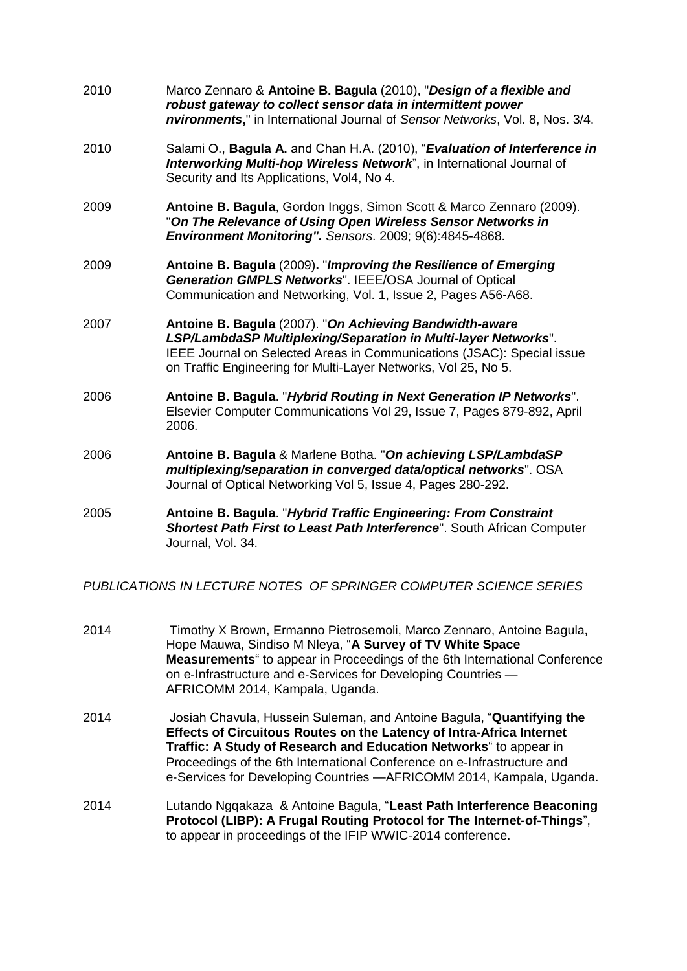| 2010 | Marco Zennaro & Antoine B. Bagula (2010), "Design of a flexible and<br>robust gateway to collect sensor data in intermittent power<br>nvironments," in International Journal of Sensor Networks, Vol. 8, Nos. 3/4.                                                    |
|------|-----------------------------------------------------------------------------------------------------------------------------------------------------------------------------------------------------------------------------------------------------------------------|
| 2010 | Salami O., Bagula A. and Chan H.A. (2010), "Evaluation of Interference in<br>Interworking Multi-hop Wireless Network", in International Journal of<br>Security and Its Applications, Vol4, No 4.                                                                      |
| 2009 | Antoine B. Bagula, Gordon Inggs, Simon Scott & Marco Zennaro (2009).<br>"On The Relevance of Using Open Wireless Sensor Networks in<br>Environment Monitoring". Sensors. 2009; 9(6):4845-4868.                                                                        |
| 2009 | Antoine B. Bagula (2009). "Improving the Resilience of Emerging<br>Generation GMPLS Networks". IEEE/OSA Journal of Optical<br>Communication and Networking, Vol. 1, Issue 2, Pages A56-A68.                                                                           |
| 2007 | Antoine B. Bagula (2007). "On Achieving Bandwidth-aware<br>LSP/LambdaSP Multiplexing/Separation in Multi-layer Networks".<br>IEEE Journal on Selected Areas in Communications (JSAC): Special issue<br>on Traffic Engineering for Multi-Layer Networks, Vol 25, No 5. |
| 2006 | Antoine B. Bagula. "Hybrid Routing in Next Generation IP Networks".<br>Elsevier Computer Communications Vol 29, Issue 7, Pages 879-892, April<br>2006.                                                                                                                |
| 2006 | Antoine B. Bagula & Marlene Botha. "On achieving LSP/LambdaSP<br>multiplexing/separation in converged data/optical networks". OSA<br>Journal of Optical Networking Vol 5, Issue 4, Pages 280-292.                                                                     |
| 2005 | Antoine B. Bagula. "Hybrid Traffic Engineering: From Constraint<br>Shortest Path First to Least Path Interference". South African Computer<br>Journal, Vol. 34.                                                                                                       |

*PUBLICATIONS IN LECTURE NOTES OF SPRINGER COMPUTER SCIENCE SERIES*

- 2014 Timothy X Brown, Ermanno Pietrosemoli, Marco Zennaro, Antoine Bagula, Hope Mauwa, Sindiso M Nleya, "**A Survey of TV White Space Measurements**" to appear in Proceedings of the 6th International Conference on e-Infrastructure and e-Services for Developing Countries — AFRICOMM 2014, Kampala, Uganda.
- 2014 Josiah Chavula, Hussein Suleman, and Antoine Bagula, "**Quantifying the Effects of Circuitous Routes on the Latency of Intra-Africa Internet Traffic: A Study of Research and Education Networks**" to appear in Proceedings of the 6th International Conference on e‐Infrastructure and e‐Services for Developing Countries —AFRICOMM 2014, Kampala, Uganda.
- 2014 Lutando Ngqakaza & Antoine Bagula, "**Least Path Interference Beaconing Protocol (LIBP): A Frugal Routing Protocol for The Internet-of-Things**", to appear in proceedings of the IFIP WWIC-2014 conference.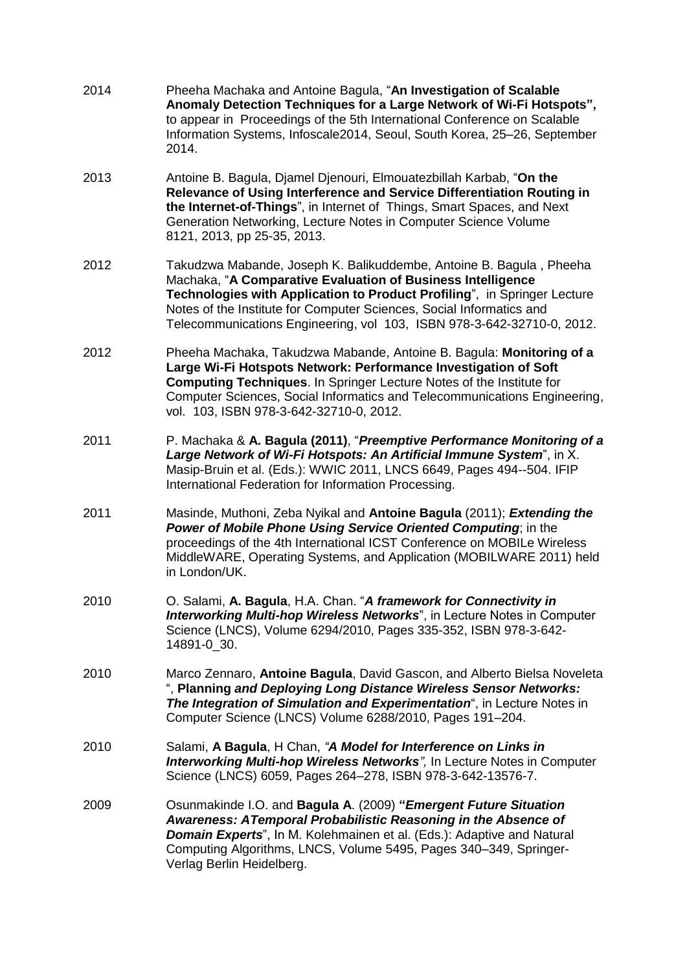| 2014 | Pheeha Machaka and Antoine Bagula, "An Investigation of Scalable<br>Anomaly Detection Techniques for a Large Network of Wi-Fi Hotspots",<br>to appear in Proceedings of the 5th International Conference on Scalable<br>Information Systems, Infoscale2014, Seoul, South Korea, 25-26, September<br>2014.                                                        |
|------|------------------------------------------------------------------------------------------------------------------------------------------------------------------------------------------------------------------------------------------------------------------------------------------------------------------------------------------------------------------|
| 2013 | Antoine B. Bagula, Djamel Djenouri, Elmouatezbillah Karbab, "On the<br>Relevance of Using Interference and Service Differentiation Routing in<br>the Internet-of-Things", in Internet of Things, Smart Spaces, and Next<br>Generation Networking, Lecture Notes in Computer Science Volume<br>8121, 2013, pp 25-35, 2013.                                        |
| 2012 | Takudzwa Mabande, Joseph K. Balikuddembe, Antoine B. Bagula, Pheeha<br>Machaka, "A Comparative Evaluation of Business Intelligence<br>Technologies with Application to Product Profiling", in Springer Lecture<br>Notes of the Institute for Computer Sciences, Social Informatics and<br>Telecommunications Engineering, vol 103, ISBN 978-3-642-32710-0, 2012. |
| 2012 | Pheeha Machaka, Takudzwa Mabande, Antoine B. Bagula: Monitoring of a<br>Large Wi-Fi Hotspots Network: Performance Investigation of Soft<br><b>Computing Techniques.</b> In Springer Lecture Notes of the Institute for<br>Computer Sciences, Social Informatics and Telecommunications Engineering,<br>vol. 103, ISBN 978-3-642-32710-0, 2012.                   |
| 2011 | P. Machaka & A. Bagula (2011), "Preemptive Performance Monitoring of a<br>Large Network of Wi-Fi Hotspots: An Artificial Immune System", in X.<br>Masip-Bruin et al. (Eds.): WWIC 2011, LNCS 6649, Pages 494--504. IFIP<br>International Federation for Information Processing.                                                                                  |
| 2011 | Masinde, Muthoni, Zeba Nyikal and Antoine Bagula (2011); Extending the<br>Power of Mobile Phone Using Service Oriented Computing; in the<br>proceedings of the 4th International ICST Conference on MOBILe Wireless<br>MiddleWARE, Operating Systems, and Application (MOBILWARE 2011) held<br>in London/UK.                                                     |
| 2010 | O. Salami, A. Bagula, H.A. Chan. "A framework for Connectivity in<br><b>Interworking Multi-hop Wireless Networks</b> ", in Lecture Notes in Computer<br>Science (LNCS), Volume 6294/2010, Pages 335-352, ISBN 978-3-642-<br>14891-0_30.                                                                                                                          |
| 2010 | Marco Zennaro, Antoine Bagula, David Gascon, and Alberto Bielsa Noveleta<br>", Planning and Deploying Long Distance Wireless Sensor Networks:<br>The Integration of Simulation and Experimentation", in Lecture Notes in<br>Computer Science (LNCS) Volume 6288/2010, Pages 191-204.                                                                             |
| 2010 | Salami, A Bagula, H Chan, "A Model for Interference on Links in<br>Interworking Multi-hop Wireless Networks", In Lecture Notes in Computer<br>Science (LNCS) 6059, Pages 264-278, ISBN 978-3-642-13576-7.                                                                                                                                                        |
| 2009 | Osunmakinde I.O. and Bagula A. (2009) "Emergent Future Situation<br>Awareness: ATemporal Probabilistic Reasoning in the Absence of<br><b>Domain Experts</b> ", In M. Kolehmainen et al. (Eds.): Adaptive and Natural<br>Computing Algorithms, LNCS, Volume 5495, Pages 340-349, Springer-<br>Verlag Berlin Heidelberg.                                           |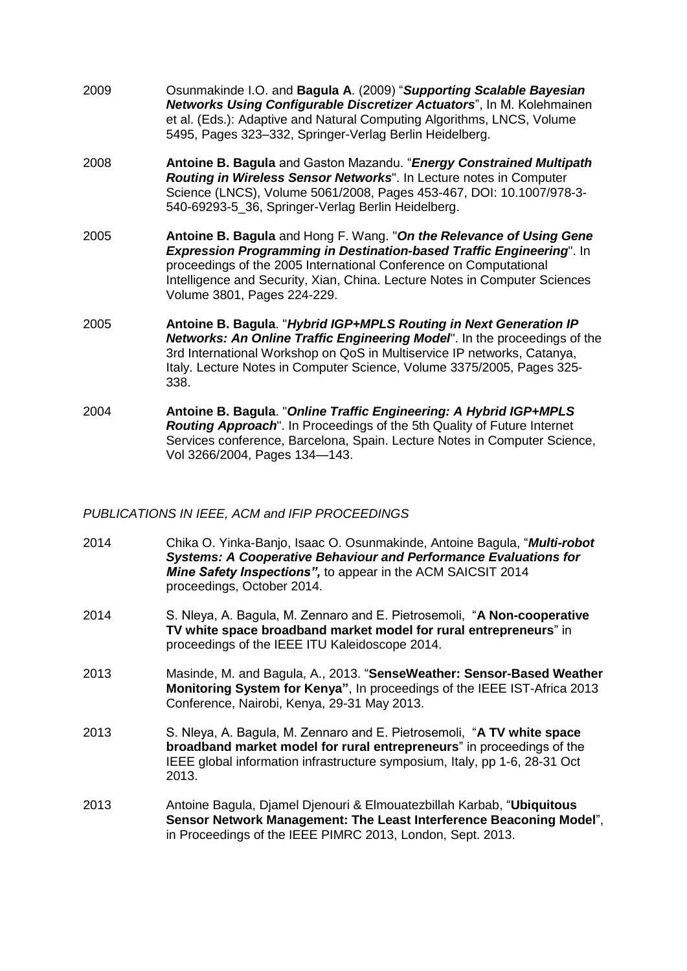- 2009 Osunmakinde I.O. and **Bagula A**. (2009) "*Supporting Scalable Bayesian Networks Using Configurable Discretizer Actuators*", In M. Kolehmainen et al. (Eds.): Adaptive and Natural Computing Algorithms, LNCS, Volume 5495, Pages 323–332, Springer-Verlag Berlin Heidelberg.
- 2008 **Antoine B. Bagula** and Gaston Mazandu. "*Energy Constrained Multipath Routing in Wireless Sensor Networks*". In Lecture notes in Computer Science (LNCS), Volume 5061/2008, Pages 453-467, DOI: 10.1007/978-3- 540-69293-5\_36, Springer-Verlag Berlin Heidelberg.
- 2005 **Antoine B. Bagula** and Hong F. Wang. "*On the Relevance of Using Gene Expression Programming in Destination-based Traffic Engineering*". In proceedings of the 2005 International Conference on Computational Intelligence and Security, Xian, China. Lecture Notes in Computer Sciences Volume 3801, Pages 224-229.
- 2005 **Antoine B. Bagula**. "*Hybrid IGP+MPLS Routing in Next Generation IP Networks: An Online Traffic Engineering Model*". In the proceedings of the 3rd International Workshop on QoS in Multiservice IP networks, Catanya, Italy. Lecture Notes in Computer Science, Volume 3375/2005, Pages 325- 338.
- 2004 **Antoine B. Bagula**. "*Online Traffic Engineering: A Hybrid IGP+MPLS Routing Approach*". In Proceedings of the 5th Quality of Future Internet Services conference, Barcelona, Spain. Lecture Notes in Computer Science, Vol 3266/2004, Pages 134—143.

### *PUBLICATIONS IN IEEE, ACM and IFIP PROCEEDINGS*

- 2014 Chika O. Yinka-Banjo, Isaac O. Osunmakinde, Antoine Bagula, "*Multi-robot Systems: A Cooperative Behaviour and Performance Evaluations for Mine Safety Inspections",* to appear in the ACM SAICSIT 2014 proceedings, October 2014.
- 2014 S. Nleya, A. Bagula, M. Zennaro and E. Pietrosemoli, "**A Non-cooperative TV white space broadband market model for rural entrepreneurs**" in proceedings of the IEEE ITU Kaleidoscope 2014.
- 2013 Masinde, M. and Bagula, A., 2013. "**SenseWeather: Sensor-Based Weather Monitoring System for Kenya"**, In proceedings of the IEEE IST-Africa 2013 Conference, Nairobi, Kenya, 29-31 May 2013.
- 2013 S. Nleya, A. Bagula, M. Zennaro and E. Pietrosemoli, "**A TV white space broadband market model for rural entrepreneurs**" in proceedings of the IEEE global information infrastructure symposium, Italy, pp 1-6, 28-31 Oct 2013.
- 2013 Antoine Bagula, Djamel Djenouri & Elmouatezbillah Karbab, "**Ubiquitous Sensor Network Management: The Least Interference Beaconing Model**", in Proceedings of the IEEE PIMRC 2013, London, Sept. 2013.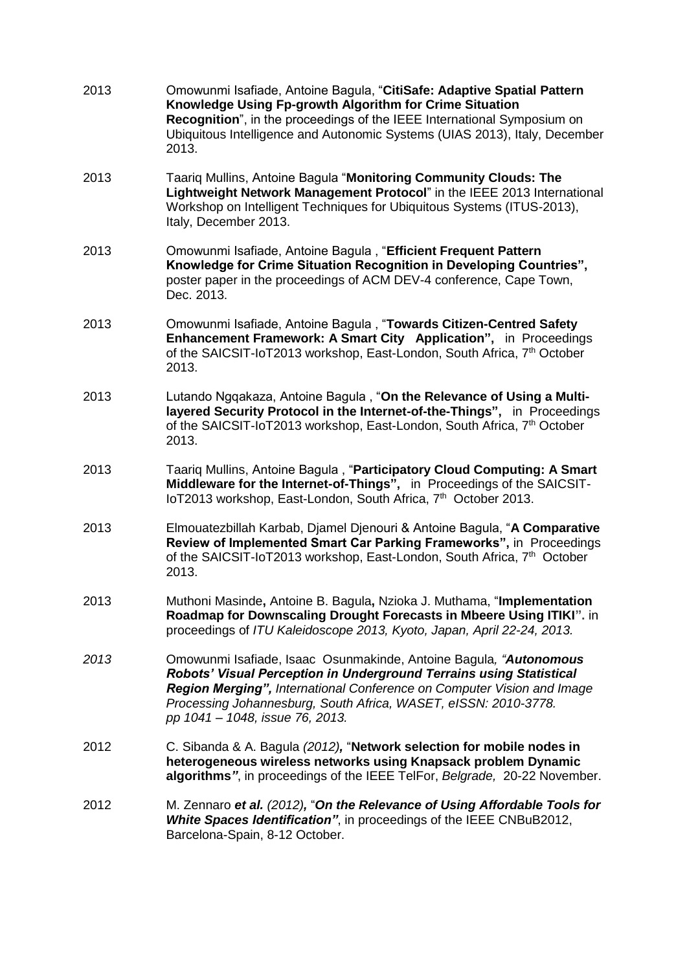| 2013 | Omowunmi Isafiade, Antoine Bagula, "CitiSafe: Adaptive Spatial Pattern<br>Knowledge Using Fp-growth Algorithm for Crime Situation<br>Recognition", in the proceedings of the IEEE International Symposium on<br>Ubiquitous Intelligence and Autonomic Systems (UIAS 2013), Italy, December<br>2013.                      |
|------|--------------------------------------------------------------------------------------------------------------------------------------------------------------------------------------------------------------------------------------------------------------------------------------------------------------------------|
| 2013 | Taariq Mullins, Antoine Bagula "Monitoring Community Clouds: The<br>Lightweight Network Management Protocol" in the IEEE 2013 International<br>Workshop on Intelligent Techniques for Ubiquitous Systems (ITUS-2013),<br>Italy, December 2013.                                                                           |
| 2013 | Omowunmi Isafiade, Antoine Bagula, "Efficient Frequent Pattern<br>Knowledge for Crime Situation Recognition in Developing Countries",<br>poster paper in the proceedings of ACM DEV-4 conference, Cape Town,<br>Dec. 2013.                                                                                               |
| 2013 | Omowunmi Isafiade, Antoine Bagula, "Towards Citizen-Centred Safety<br>Enhancement Framework: A Smart City Application", in Proceedings<br>of the SAICSIT-IoT2013 workshop, East-London, South Africa, 7 <sup>th</sup> October<br>2013.                                                                                   |
| 2013 | Lutando Ngqakaza, Antoine Bagula, "On the Relevance of Using a Multi-<br>layered Security Protocol in the Internet-of-the-Things", in Proceedings<br>of the SAICSIT-IoT2013 workshop, East-London, South Africa, 7 <sup>th</sup> October<br>2013.                                                                        |
| 2013 | Taariq Mullins, Antoine Bagula, "Participatory Cloud Computing: A Smart<br>Middleware for the Internet-of-Things", in Proceedings of the SAICSIT-<br>loT2013 workshop, East-London, South Africa, 7 <sup>th</sup> October 2013.                                                                                          |
| 2013 | Elmouatezbillah Karbab, Djamel Djenouri & Antoine Bagula, "A Comparative<br>Review of Implemented Smart Car Parking Frameworks", in Proceedings<br>of the SAICSIT-IoT2013 workshop, East-London, South Africa, 7 <sup>th</sup> October<br>2013.                                                                          |
| 2013 | Muthoni Masinde, Antoine B. Bagula, Nzioka J. Muthama, "Implementation<br>Roadmap for Downscaling Drought Forecasts in Mbeere Using ITIKI". in<br>proceedings of ITU Kaleidoscope 2013, Kyoto, Japan, April 22-24, 2013.                                                                                                 |
| 2013 | Omowunmi Isafiade, Isaac Osunmakinde, Antoine Bagula, "Autonomous<br>Robots' Visual Perception in Underground Terrains using Statistical<br>Region Merging", International Conference on Computer Vision and Image<br>Processing Johannesburg, South Africa, WASET, eISSN: 2010-3778.<br>pp 1041 - 1048, issue 76, 2013. |
| 2012 | C. Sibanda & A. Bagula (2012), "Network selection for mobile nodes in<br>heterogeneous wireless networks using Knapsack problem Dynamic<br>algorithms", in proceedings of the IEEE TelFor, Belgrade, 20-22 November.                                                                                                     |
| 2012 | M. Zennaro et al. (2012), "On the Relevance of Using Affordable Tools for<br>White Spaces Identification", in proceedings of the IEEE CNBuB2012,<br>Barcelona-Spain, 8-12 October.                                                                                                                                       |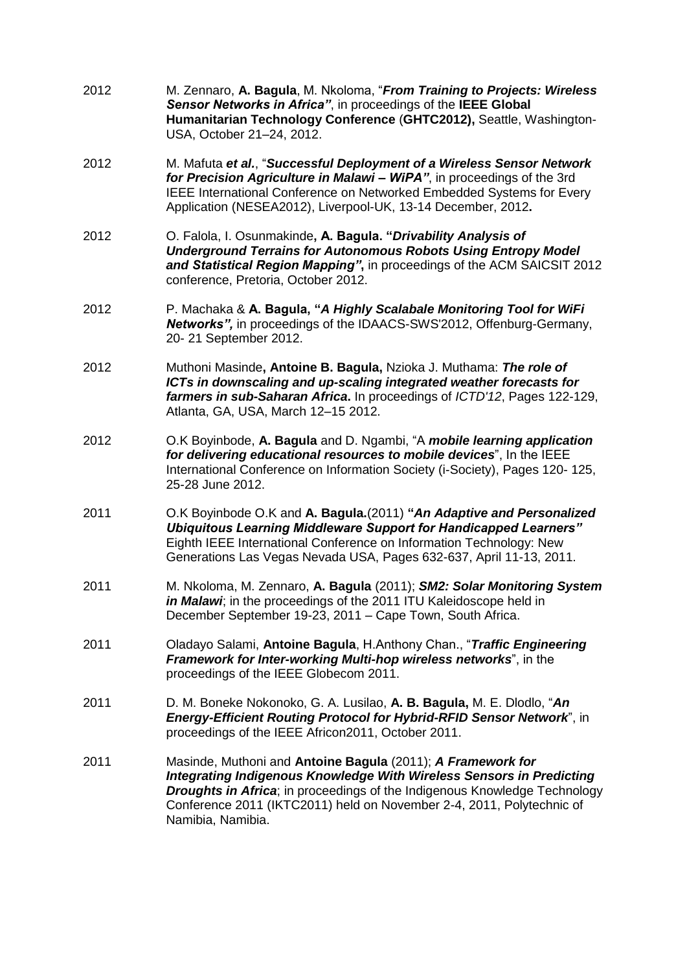- 2012 M. Zennaro, **A. Bagula**, M. Nkoloma, "*From Training to Projects: Wireless Sensor Networks in Africa"*, in proceedings of the **IEEE Global Humanitarian Technology Conference** (**GHTC2012),** Seattle, Washington-USA, October 21–24, 2012.
- 2012 M. Mafuta *et al.*, "*Successful Deployment of a Wireless Sensor Network for Precision Agriculture in Malawi – WiPA"*, in proceedings of the 3rd IEEE International Conference on Networked Embedded Systems for Every Application (NESEA2012), Liverpool-UK, 13-14 December, 2012**.**
- 2012 O. Falola, I. Osunmakinde**, A. Bagula. "***Drivability Analysis of Underground Terrains for Autonomous Robots Using Entropy Model and Statistical Region Mapping"***,** in proceedings of the ACM SAICSIT 2012 conference, Pretoria, October 2012.
- 2012 P. Machaka & **A. Bagula, "***A Highly Scalabale Monitoring Tool for WiFi Networks",* in proceedings of the IDAACS-SWS'2012, Offenburg-Germany, 20- 21 September 2012.
- 2012 Muthoni Masinde**, Antoine B. Bagula,** Nzioka J. Muthama: *The role of ICTs in downscaling and up-scaling integrated weather forecasts for farmers in sub-Saharan Africa***.** In proceedings of *ICTD'12*, Pages 122-129, Atlanta, GA, USA, March 12–15 2012.
- 2012 O.K Boyinbode, **A. Bagula** and D. Ngambi, "A *mobile learning application for delivering educational resources to mobile devices*", In the IEEE International Conference on Information Society (i-Society), Pages 120- 125, 25-28 June 2012.
- 2011 O.K Boyinbode O.K and **A. Bagula.**(2011) **"***An Adaptive and Personalized Ubiquitous Learning Middleware Support for Handicapped Learners"* Eighth IEEE International Conference on Information Technology: New Generations Las Vegas Nevada USA, Pages 632-637, April 11-13, 2011.
- 2011 M. Nkoloma, M. Zennaro, **A. Bagula** (2011); *SM2: Solar Monitoring System in Malawi*; in the proceedings of the 2011 ITU Kaleidoscope held in December September 19-23, 2011 – Cape Town, South Africa.
- 2011 Oladayo Salami, **Antoine Bagula**, H.Anthony Chan., "*Traffic Engineering Framework for Inter-working Multi-hop wireless networks*", in the proceedings of the IEEE Globecom 2011.
- 2011 D. M. Boneke Nokonoko, G. A. Lusilao, **A. B. Bagula,** M. E. Dlodlo, "*An Energy-Efficient Routing Protocol for Hybrid-RFID Sensor Network*", in proceedings of the IEEE Africon2011, October 2011.
- 2011 Masinde, Muthoni and **Antoine Bagula** (2011); *A Framework for Integrating Indigenous Knowledge With Wireless Sensors in Predicting Droughts in Africa*; in proceedings of the Indigenous Knowledge Technology Conference 2011 (IKTC2011) held on November 2-4, 2011, Polytechnic of Namibia, Namibia.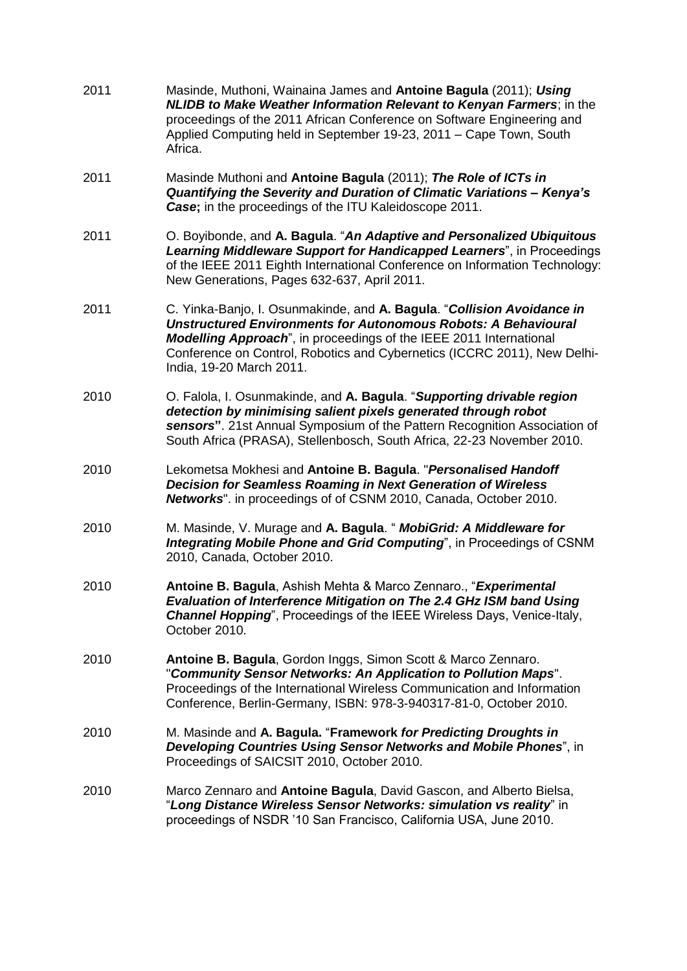- 2011 Masinde, Muthoni, Wainaina James and **Antoine Bagula** (2011); *Using NLIDB to Make Weather Information Relevant to Kenyan Farmers*; in the proceedings of the 2011 African Conference on Software Engineering and Applied Computing held in September 19-23, 2011 – Cape Town, South Africa.
- 2011 Masinde Muthoni and **Antoine Bagula** (2011); *The Role of ICTs in Quantifying the Severity and Duration of Climatic Variations – Kenya's Case***;** in the proceedings of the ITU Kaleidoscope 2011.
- 2011 O. Boyibonde, and **A. Bagula**. "*An Adaptive and Personalized Ubiquitous Learning Middleware Support for Handicapped Learners*", in Proceedings of the IEEE 2011 Eighth International Conference on Information Technology: New Generations, Pages 632-637, April 2011.
- 2011 C. Yinka-Banjo, I. Osunmakinde, and **A. Bagula**. "*Collision Avoidance in Unstructured Environments for Autonomous Robots: A Behavioural Modelling Approach*", in proceedings of the IEEE 2011 International Conference on Control, Robotics and Cybernetics (ICCRC 2011), New Delhi-India, 19-20 March 2011.
- 2010 O. Falola, I. Osunmakinde, and **A. Bagula**. "*Supporting drivable region detection by minimising salient pixels generated through robot sensors***"**. 21st Annual Symposium of the Pattern Recognition Association of South Africa (PRASA), Stellenbosch, South Africa, 22-23 November 2010.
- 2010 Lekometsa Mokhesi and **Antoine B. Bagula**. "*Personalised Handoff Decision for Seamless Roaming in Next Generation of Wireless Networks*". in proceedings of of CSNM 2010, Canada, October 2010.
- 2010 M. Masinde, V. Murage and **A. Bagula**. " *MobiGrid: A Middleware for Integrating Mobile Phone and Grid Computing*", in Proceedings of CSNM 2010, Canada, October 2010.
- 2010 **Antoine B. Bagula**, Ashish Mehta & Marco Zennaro., "*Experimental Evaluation of Interference Mitigation on The 2.4 GHz ISM band Using Channel Hopping*", Proceedings of the IEEE Wireless Days, Venice-Italy, October 2010.
- 2010 **Antoine B. Bagula**, Gordon Inggs, Simon Scott & Marco Zennaro. "*Community Sensor Networks: An Application to Pollution Maps*". Proceedings of the International Wireless Communication and Information Conference, Berlin-Germany, ISBN: 978-3-940317-81-0, October 2010.
- 2010 M. Masinde and **A. Bagula.** "**Framework** *for Predicting Droughts in Developing Countries Using Sensor Networks and Mobile Phones*", in Proceedings of SAICSIT 2010, October 2010.
- 2010 Marco Zennaro and **Antoine Bagula**, David Gascon, and Alberto Bielsa, "*Long Distance Wireless Sensor Networks: simulation vs reality*" in proceedings of NSDR '10 San Francisco, California USA, June 2010.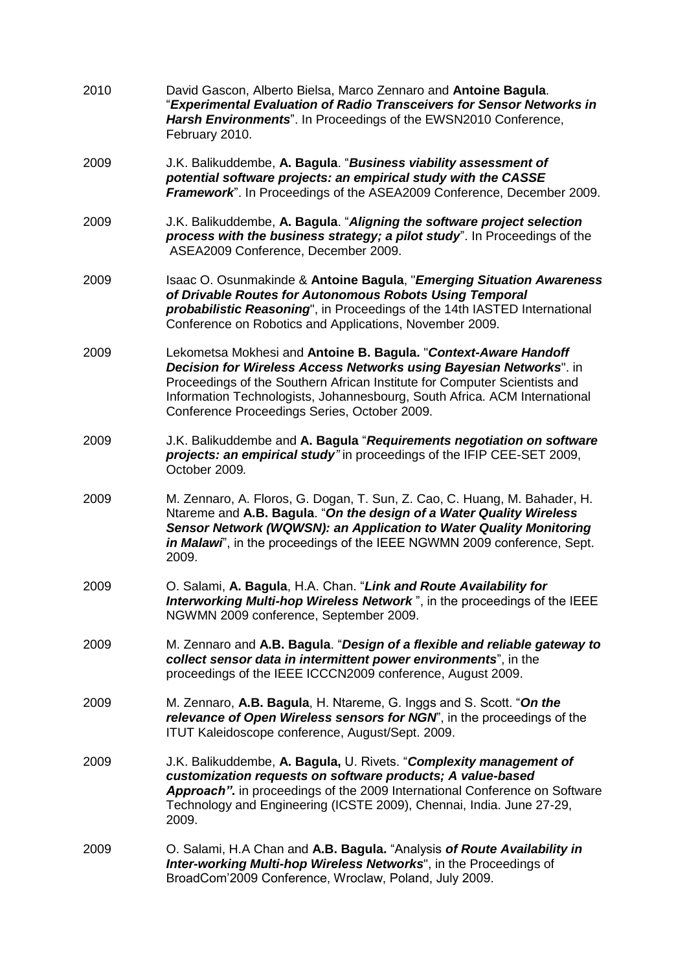| 2010 | David Gascon, Alberto Bielsa, Marco Zennaro and Antoine Bagula.<br>"Experimental Evaluation of Radio Transceivers for Sensor Networks in<br>Harsh Environments". In Proceedings of the EWSN2010 Conference,<br>February 2010.                                                                                                                   |
|------|-------------------------------------------------------------------------------------------------------------------------------------------------------------------------------------------------------------------------------------------------------------------------------------------------------------------------------------------------|
| 2009 | J.K. Balikuddembe, A. Bagula. "Business viability assessment of<br>potential software projects: an empirical study with the CASSE<br>Framework". In Proceedings of the ASEA2009 Conference, December 2009.                                                                                                                                      |
| 2009 | J.K. Balikuddembe, A. Bagula. "Aligning the software project selection<br>process with the business strategy; a pilot study". In Proceedings of the<br>ASEA2009 Conference, December 2009.                                                                                                                                                      |
| 2009 | <b>Isaac O. Osunmakinde &amp; Antoine Bagula, "Emerging Situation Awareness</b><br>of Drivable Routes for Autonomous Robots Using Temporal<br>probabilistic Reasoning", in Proceedings of the 14th IASTED International<br>Conference on Robotics and Applications, November 2009.                                                              |
| 2009 | Lekometsa Mokhesi and Antoine B. Bagula. "Context-Aware Handoff<br>Decision for Wireless Access Networks using Bayesian Networks". in<br>Proceedings of the Southern African Institute for Computer Scientists and<br>Information Technologists, Johannesbourg, South Africa. ACM International<br>Conference Proceedings Series, October 2009. |
| 2009 | J.K. Balikuddembe and A. Bagula "Requirements negotiation on software<br>projects: an empirical study" in proceedings of the IFIP CEE-SET 2009,<br>October 2009.                                                                                                                                                                                |
| 2009 | M. Zennaro, A. Floros, G. Dogan, T. Sun, Z. Cao, C. Huang, M. Bahader, H.<br>Ntareme and A.B. Bagula. "On the design of a Water Quality Wireless<br>Sensor Network (WQWSN): an Application to Water Quality Monitoring<br>in Malawi', in the proceedings of the IEEE NGWMN 2009 conference, Sept.<br>2009.                                      |
| 2009 | O. Salami, A. Bagula, H.A. Chan. "Link and Route Availability for<br>Interworking Multi-hop Wireless Network", in the proceedings of the IEEE<br>NGWMN 2009 conference, September 2009.                                                                                                                                                         |
| 2009 | M. Zennaro and A.B. Bagula. "Design of a flexible and reliable gateway to<br>collect sensor data in intermittent power environments", in the<br>proceedings of the IEEE ICCCN2009 conference, August 2009.                                                                                                                                      |
| 2009 | M. Zennaro, A.B. Bagula, H. Ntareme, G. Inggs and S. Scott. "On the<br>relevance of Open Wireless sensors for NGN', in the proceedings of the<br>ITUT Kaleidoscope conference, August/Sept. 2009.                                                                                                                                               |
| 2009 | J.K. Balikuddembe, A. Bagula, U. Rivets. "Complexity management of<br>customization requests on software products; A value-based<br>Approach". in proceedings of the 2009 International Conference on Software<br>Technology and Engineering (ICSTE 2009), Chennai, India. June 27-29,<br>2009.                                                 |
| 2009 | O. Salami, H.A Chan and A.B. Bagula. "Analysis of Route Availability in<br>Inter-working Multi-hop Wireless Networks", in the Proceedings of<br>BroadCom'2009 Conference, Wroclaw, Poland, July 2009.                                                                                                                                           |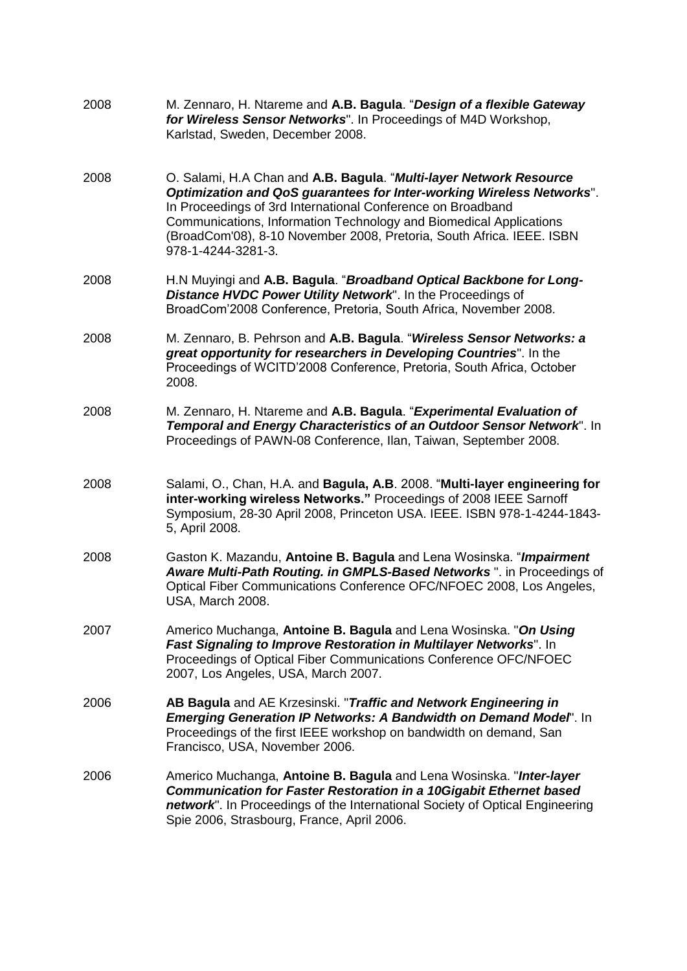| 2008 | M. Zennaro, H. Ntareme and A.B. Bagula. "Design of a flexible Gateway<br>for Wireless Sensor Networks". In Proceedings of M4D Workshop,<br>Karlstad, Sweden, December 2008.                                                                                                                                                                                                     |
|------|---------------------------------------------------------------------------------------------------------------------------------------------------------------------------------------------------------------------------------------------------------------------------------------------------------------------------------------------------------------------------------|
| 2008 | O. Salami, H.A Chan and A.B. Bagula. "Multi-layer Network Resource<br>Optimization and QoS guarantees for Inter-working Wireless Networks".<br>In Proceedings of 3rd International Conference on Broadband<br>Communications, Information Technology and Biomedical Applications<br>(BroadCom'08), 8-10 November 2008, Pretoria, South Africa. IEEE. ISBN<br>978-1-4244-3281-3. |
| 2008 | H.N Muyingi and A.B. Bagula. "Broadband Optical Backbone for Long-<br>Distance HVDC Power Utility Network". In the Proceedings of<br>BroadCom'2008 Conference, Pretoria, South Africa, November 2008.                                                                                                                                                                           |
| 2008 | M. Zennaro, B. Pehrson and A.B. Bagula. "Wireless Sensor Networks: a<br>great opportunity for researchers in Developing Countries". In the<br>Proceedings of WCITD'2008 Conference, Pretoria, South Africa, October<br>2008.                                                                                                                                                    |
| 2008 | M. Zennaro, H. Ntareme and A.B. Bagula. "Experimental Evaluation of<br>Temporal and Energy Characteristics of an Outdoor Sensor Network". In<br>Proceedings of PAWN-08 Conference, Ilan, Taiwan, September 2008.                                                                                                                                                                |
| 2008 | Salami, O., Chan, H.A. and Bagula, A.B. 2008. "Multi-layer engineering for<br>inter-working wireless Networks." Proceedings of 2008 IEEE Sarnoff<br>Symposium, 28-30 April 2008, Princeton USA. IEEE. ISBN 978-1-4244-1843-<br>5, April 2008.                                                                                                                                   |
| 2008 | Gaston K. Mazandu, Antoine B. Bagula and Lena Wosinska. "Impairment<br>Aware Multi-Path Routing. in GMPLS-Based Networks". in Proceedings of<br>Optical Fiber Communications Conference OFC/NFOEC 2008, Los Angeles,<br>USA, March 2008.                                                                                                                                        |
| 2007 | Americo Muchanga, Antoine B. Bagula and Lena Wosinska. "On Using<br>Fast Signaling to Improve Restoration in Multilayer Networks". In<br>Proceedings of Optical Fiber Communications Conference OFC/NFOEC<br>2007, Los Angeles, USA, March 2007.                                                                                                                                |
| 2006 | AB Bagula and AE Krzesinski. "Traffic and Network Engineering in<br><b>Emerging Generation IP Networks: A Bandwidth on Demand Model". In</b><br>Proceedings of the first IEEE workshop on bandwidth on demand, San<br>Francisco, USA, November 2006.                                                                                                                            |
| 2006 | Americo Muchanga, Antoine B. Bagula and Lena Wosinska. "Inter-layer<br><b>Communication for Faster Restoration in a 10Gigabit Ethernet based</b><br>network". In Proceedings of the International Society of Optical Engineering<br>Spie 2006, Strasbourg, France, April 2006.                                                                                                  |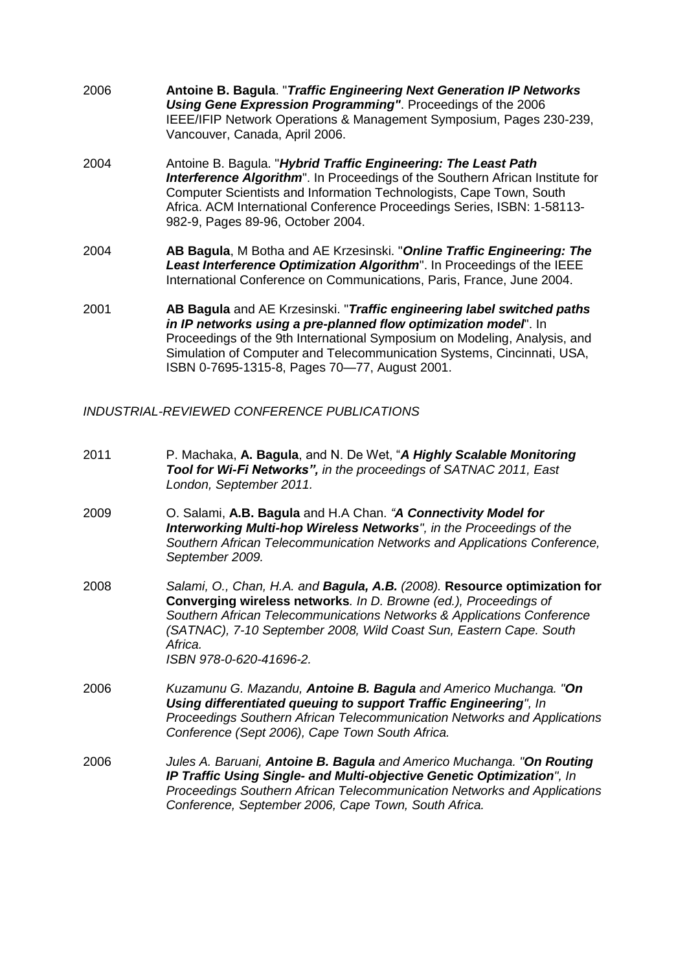- 2006 **Antoine B. Bagula**. "*Traffic Engineering Next Generation IP Networks Using Gene Expression Programming"*. Proceedings of the 2006 IEEE/IFIP Network Operations & Management Symposium, Pages 230-239, Vancouver, Canada, April 2006. 2004 Antoine B. Bagula. "*Hybrid Traffic Engineering: The Least Path Interference Algorithm*". In Proceedings of the Southern African Institute for Computer Scientists and Information Technologists, Cape Town, South
- Africa. ACM International Conference Proceedings Series, ISBN: 1-58113- 982-9, Pages 89-96, October 2004. 2004 **AB Bagula**, M Botha and AE Krzesinski. "*Online Traffic Engineering: The*
- *Least Interference Optimization Algorithm*". In Proceedings of the IEEE International Conference on Communications, Paris, France, June 2004.
- 2001 **AB Bagula** and AE Krzesinski. "*Traffic engineering label switched paths in IP networks using a pre-planned flow optimization model*". In Proceedings of the 9th International Symposium on Modeling, Analysis, and Simulation of Computer and Telecommunication Systems, Cincinnati, USA, ISBN 0-7695-1315-8, Pages 70—77, August 2001.

*INDUSTRIAL-REVIEWED CONFERENCE PUBLICATIONS*

| 2011 | P. Machaka, A. Bagula, and N. De Wet, "A Highly Scalable Monitoring<br>Tool for Wi-Fi Networks", in the proceedings of SATNAC 2011, East<br>London, September 2011.                                                                                                                                                                 |
|------|-------------------------------------------------------------------------------------------------------------------------------------------------------------------------------------------------------------------------------------------------------------------------------------------------------------------------------------|
| 2009 | O. Salami, A.B. Bagula and H.A Chan. "A Connectivity Model for<br>Interworking Multi-hop Wireless Networks", in the Proceedings of the<br>Southern African Telecommunication Networks and Applications Conference,<br>September 2009.                                                                                               |
| 2008 | Salami, O., Chan, H.A. and Bagula, A.B. (2008). Resource optimization for<br>Converging wireless networks. In D. Browne (ed.), Proceedings of<br>Southern African Telecommunications Networks & Applications Conference<br>(SATNAC), 7-10 September 2008, Wild Coast Sun, Eastern Cape. South<br>Africa.<br>ISBN 978-0-620-41696-2. |
| 2006 | Kuzamunu G. Mazandu, Antoine B. Bagula and Americo Muchanga. "On<br>Using differentiated queuing to support Traffic Engineering", In<br>Proceedings Southern African Telecommunication Networks and Applications<br>Conference (Sept 2006), Cape Town South Africa.                                                                 |
| 2006 | Jules A. Baruani, Antoine B. Bagula and Americo Muchanga. "On Routing<br>IP Traffic Using Single- and Multi-objective Genetic Optimization", In<br>Proceedings Southern African Telecommunication Networks and Applications<br>Conference, September 2006, Cape Town, South Africa.                                                 |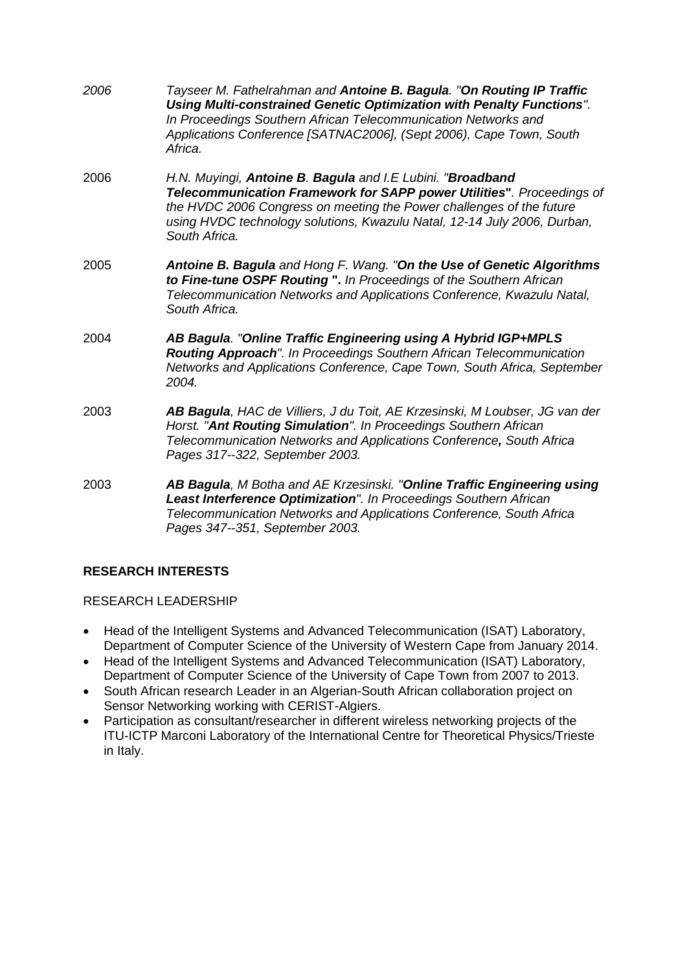| 2006 | Tayseer M. Fathelrahman and Antoine B. Bagula. "On Routing IP Traffic<br>Using Multi-constrained Genetic Optimization with Penalty Functions".<br>In Proceedings Southern African Telecommunication Networks and<br>Applications Conference [SATNAC2006], (Sept 2006), Cape Town, South<br>Africa.       |
|------|----------------------------------------------------------------------------------------------------------------------------------------------------------------------------------------------------------------------------------------------------------------------------------------------------------|
| 2006 | H.N. Muyingi, Antoine B. Bagula and I.E Lubini. "Broadband<br>Telecommunication Framework for SAPP power Utilities". Proceedings of<br>the HVDC 2006 Congress on meeting the Power challenges of the future<br>using HVDC technology solutions, Kwazulu Natal, 12-14 July 2006, Durban,<br>South Africa. |
| 2005 | Antoine B. Bagula and Hong F. Wang. "On the Use of Genetic Algorithms<br>to Fine-tune OSPF Routing ". In Proceedings of the Southern African<br>Telecommunication Networks and Applications Conference, Kwazulu Natal,<br>South Africa.                                                                  |
| 2004 | AB Bagula. "Online Traffic Engineering using A Hybrid IGP+MPLS<br>Routing Approach". In Proceedings Southern African Telecommunication<br>Networks and Applications Conference, Cape Town, South Africa, September<br>2004.                                                                              |
| 2003 | AB Bagula, HAC de Villiers, J du Toit, AE Krzesinski, M Loubser, JG van der<br>Horst. "Ant Routing Simulation". In Proceedings Southern African<br>Telecommunication Networks and Applications Conference, South Africa<br>Pages 317--322, September 2003.                                               |
| 2003 | AB Bagula, M Botha and AE Krzesinski. "Online Traffic Engineering using<br>Least Interference Optimization". In Proceedings Southern African<br>Telecommunication Networks and Applications Conference, South Africa<br>Pages 347--351, September 2003.                                                  |

# **RESEARCH INTERESTS**

### RESEARCH LEADERSHIP

- Head of the Intelligent Systems and Advanced Telecommunication (ISAT) Laboratory, Department of Computer Science of the University of Western Cape from January 2014.
- Head of the Intelligent Systems and Advanced Telecommunication (ISAT) Laboratory, Department of Computer Science of the University of Cape Town from 2007 to 2013.
- South African research Leader in an Algerian-South African collaboration project on Sensor Networking working with CERIST-Algiers.
- Participation as consultant/researcher in different wireless networking projects of the ITU-ICTP Marconi Laboratory of the International Centre for Theoretical Physics/Trieste in Italy.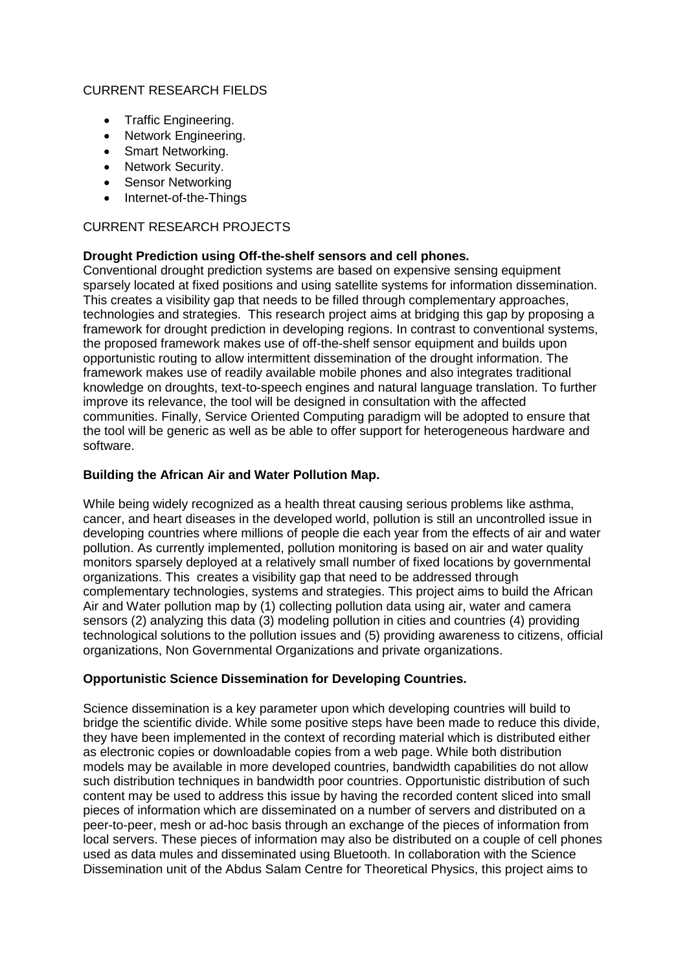### CURRENT RESEARCH FIELDS

- Traffic Engineering.
- Network Engineering.
- Smart Networking.
- Network Security.
- Sensor Networking
- Internet-of-the-Things

### CURRENT RESEARCH PROJECTS

### **Drought Prediction using Off-the-shelf sensors and cell phones***.*

Conventional drought prediction systems are based on expensive sensing equipment sparsely located at fixed positions and using satellite systems for information dissemination. This creates a visibility gap that needs to be filled through complementary approaches, technologies and strategies. This research project aims at bridging this gap by proposing a framework for drought prediction in developing regions. In contrast to conventional systems, the proposed framework makes use of off-the-shelf sensor equipment and builds upon opportunistic routing to allow intermittent dissemination of the drought information. The framework makes use of readily available mobile phones and also integrates traditional knowledge on droughts, text-to-speech engines and natural language translation. To further improve its relevance, the tool will be designed in consultation with the affected communities. Finally, Service Oriented Computing paradigm will be adopted to ensure that the tool will be generic as well as be able to offer support for heterogeneous hardware and software.

### **Building the African Air and Water Pollution Map.**

While being widely recognized as a health threat causing serious problems like asthma, cancer, and heart diseases in the developed world, pollution is still an uncontrolled issue in developing countries where millions of people die each year from the effects of air and water pollution. As currently implemented, pollution monitoring is based on air and water quality monitors sparsely deployed at a relatively small number of fixed locations by governmental organizations. This creates a visibility gap that need to be addressed through complementary technologies, systems and strategies. This project aims to build the African Air and Water pollution map by (1) collecting pollution data using air, water and camera sensors (2) analyzing this data (3) modeling pollution in cities and countries (4) providing technological solutions to the pollution issues and (5) providing awareness to citizens, official organizations, Non Governmental Organizations and private organizations.

### **Opportunistic Science Dissemination for Developing Countries.**

Science dissemination is a key parameter upon which developing countries will build to bridge the scientific divide. While some positive steps have been made to reduce this divide, they have been implemented in the context of recording material which is distributed either as electronic copies or downloadable copies from a web page. While both distribution models may be available in more developed countries, bandwidth capabilities do not allow such distribution techniques in bandwidth poor countries. Opportunistic distribution of such content may be used to address this issue by having the recorded content sliced into small pieces of information which are disseminated on a number of servers and distributed on a peer-to-peer, mesh or ad-hoc basis through an exchange of the pieces of information from local servers. These pieces of information may also be distributed on a couple of cell phones used as data mules and disseminated using Bluetooth. In collaboration with the Science Dissemination unit of the Abdus Salam Centre for Theoretical Physics, this project aims to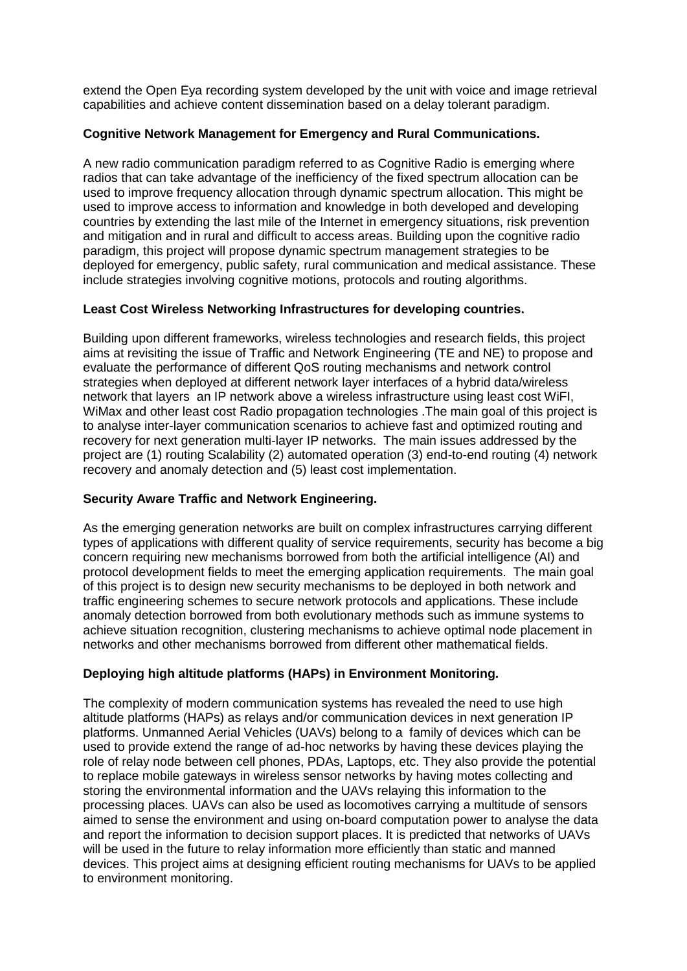extend the Open Eya recording system developed by the unit with voice and image retrieval capabilities and achieve content dissemination based on a delay tolerant paradigm.

### **Cognitive Network Management for Emergency and Rural Communications.**

A new radio communication paradigm referred to as Cognitive Radio is emerging where radios that can take advantage of the inefficiency of the fixed spectrum allocation can be used to improve frequency allocation through dynamic spectrum allocation. This might be used to improve access to information and knowledge in both developed and developing countries by extending the last mile of the Internet in emergency situations, risk prevention and mitigation and in rural and difficult to access areas. Building upon the cognitive radio paradigm, this project will propose dynamic spectrum management strategies to be deployed for emergency, public safety, rural communication and medical assistance. These include strategies involving cognitive motions, protocols and routing algorithms.

### **Least Cost Wireless Networking Infrastructures for developing countries.**

Building upon different frameworks, wireless technologies and research fields, this project aims at revisiting the issue of Traffic and Network Engineering (TE and NE) to propose and evaluate the performance of different QoS routing mechanisms and network control strategies when deployed at different network layer interfaces of a hybrid data/wireless network that layers an IP network above a wireless infrastructure using least cost WiFI, WiMax and other least cost Radio propagation technologies .The main goal of this project is to analyse inter-layer communication scenarios to achieve fast and optimized routing and recovery for next generation multi-layer IP networks. The main issues addressed by the project are (1) routing Scalability (2) automated operation (3) end-to-end routing (4) network recovery and anomaly detection and (5) least cost implementation.

# **Security Aware Traffic and Network Engineering.**

As the emerging generation networks are built on complex infrastructures carrying different types of applications with different quality of service requirements, security has become a big concern requiring new mechanisms borrowed from both the artificial intelligence (AI) and protocol development fields to meet the emerging application requirements. The main goal of this project is to design new security mechanisms to be deployed in both network and traffic engineering schemes to secure network protocols and applications. These include anomaly detection borrowed from both evolutionary methods such as immune systems to achieve situation recognition, clustering mechanisms to achieve optimal node placement in networks and other mechanisms borrowed from different other mathematical fields.

# **Deploying high altitude platforms (HAPs) in Environment Monitoring.**

The complexity of modern communication systems has revealed the need to use high altitude platforms (HAPs) as relays and/or communication devices in next generation IP platforms. Unmanned Aerial Vehicles (UAVs) belong to a family of devices which can be used to provide extend the range of ad-hoc networks by having these devices playing the role of relay node between cell phones, PDAs, Laptops, etc. They also provide the potential to replace mobile gateways in wireless sensor networks by having motes collecting and storing the environmental information and the UAVs relaying this information to the processing places. UAVs can also be used as locomotives carrying a multitude of sensors aimed to sense the environment and using on-board computation power to analyse the data and report the information to decision support places. It is predicted that networks of UAVs will be used in the future to relay information more efficiently than static and manned devices. This project aims at designing efficient routing mechanisms for UAVs to be applied to environment monitoring.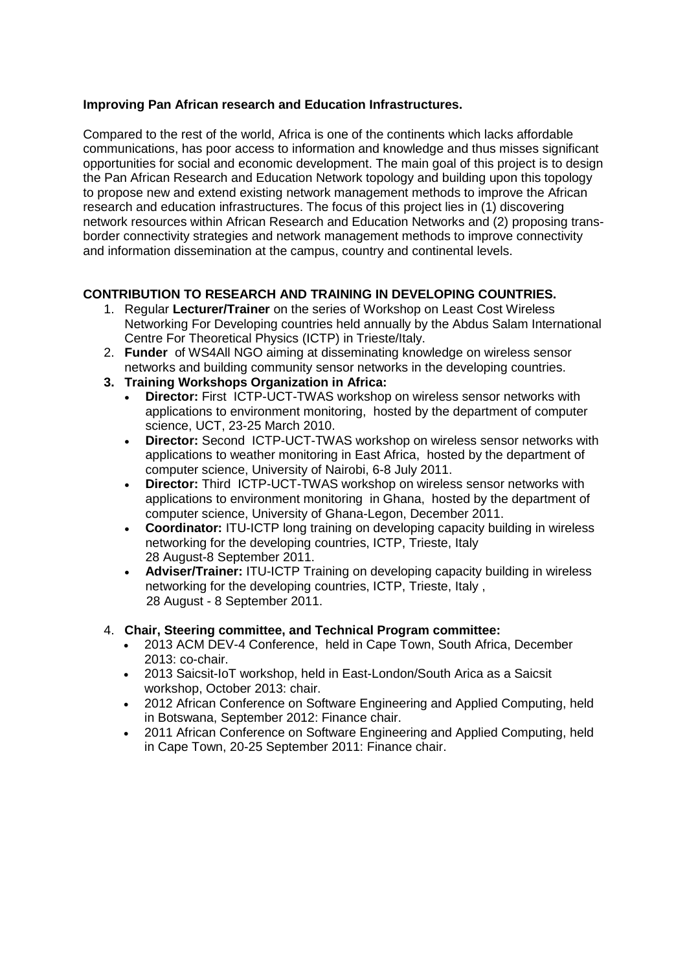### **Improving Pan African research and Education Infrastructures.**

Compared to the rest of the world, Africa is one of the continents which lacks affordable communications, has poor access to information and knowledge and thus misses significant opportunities for social and economic development. The main goal of this project is to design the Pan African Research and Education Network topology and building upon this topology to propose new and extend existing network management methods to improve the African research and education infrastructures. The focus of this project lies in (1) discovering network resources within African Research and Education Networks and (2) proposing transborder connectivity strategies and network management methods to improve connectivity and information dissemination at the campus, country and continental levels.

# **CONTRIBUTION TO RESEARCH AND TRAINING IN DEVELOPING COUNTRIES.**

- 1. Regular **Lecturer/Trainer** on the series of Workshop on Least Cost Wireless Networking For Developing countries held annually by the Abdus Salam International Centre For Theoretical Physics (ICTP) in Trieste/Italy.
- 2. **Funder** of WS4All NGO aiming at disseminating knowledge on wireless sensor networks and building community sensor networks in the developing countries.
- **3. Training Workshops Organization in Africa:** 
	- **Director:** First ICTP-UCT-TWAS workshop on wireless sensor networks with applications to environment monitoring, hosted by the department of computer science, UCT, 23-25 March 2010.
	- **Director:** Second ICTP-UCT-TWAS workshop on wireless sensor networks with applications to weather monitoring in East Africa, hosted by the department of computer science, University of Nairobi, 6-8 July 2011.
	- **Director:** Third ICTP-UCT-TWAS workshop on wireless sensor networks with applications to environment monitoring in Ghana, hosted by the department of computer science, University of Ghana-Legon, December 2011.
	- **Coordinator:** ITU-ICTP long training on developing capacity building in wireless networking for the developing countries, ICTP, Trieste, Italy 28 August-8 September 2011.
	- **Adviser/Trainer:** ITU-ICTP Training on developing capacity building in wireless networking for the developing countries, ICTP, Trieste, Italy , 28 August - 8 September 2011.
- 4. **Chair, Steering committee, and Technical Program committee:**
	- 2013 ACM DEV-4 Conference, held in Cape Town, South Africa, December 2013: co-chair.
	- 2013 Saicsit-IoT workshop, held in East-London/South Arica as a Saicsit workshop, October 2013: chair.
	- 2012 African Conference on Software Engineering and Applied Computing, held in Botswana, September 2012: Finance chair.
	- 2011 African Conference on Software Engineering and Applied Computing, held in Cape Town, 20-25 September 2011: Finance chair.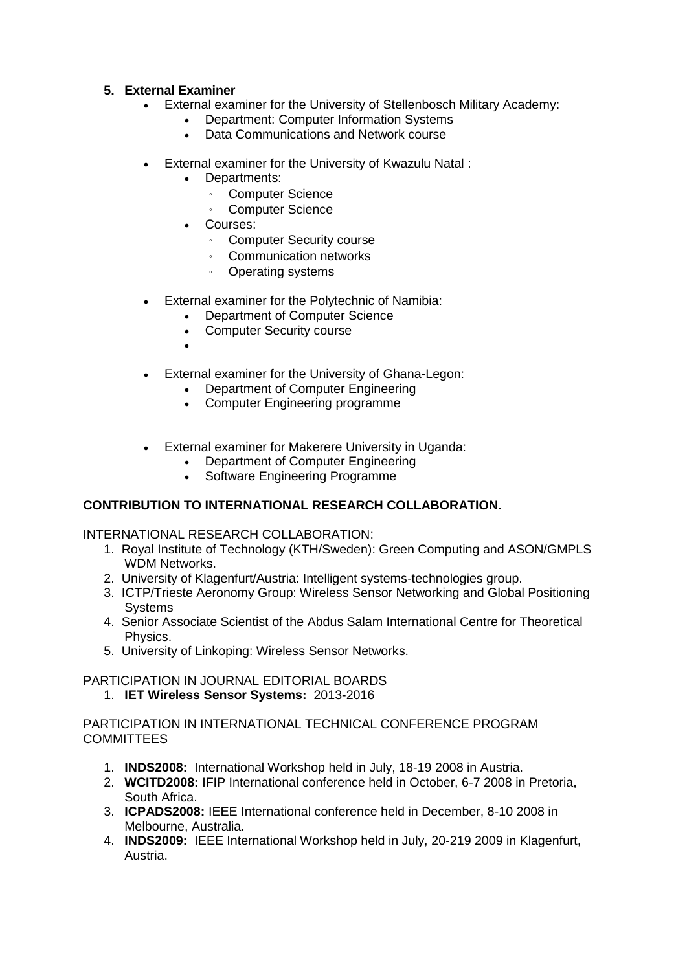### **5. External Examiner**

- External examiner for the University of Stellenbosch Military Academy:
	- Department: Computer Information Systems
	- Data Communications and Network course
- External examiner for the University of Kwazulu Natal :
	- Departments:
		- Computer Science
		- Computer Science
	- Courses:
		- Computer Security course
		- Communication networks
		- Operating systems
- External examiner for the Polytechnic of Namibia:
	- Department of Computer Science
	- Computer Security course
	- $\bullet$
- External examiner for the University of Ghana-Legon:
	- Department of Computer Engineering
	- Computer Engineering programme
- External examiner for Makerere University in Uganda:
	- Department of Computer Engineering
	- Software Engineering Programme

# **CONTRIBUTION TO INTERNATIONAL RESEARCH COLLABORATION.**

INTERNATIONAL RESEARCH COLLABORATION:

- 1. Royal Institute of Technology (KTH/Sweden): Green Computing and ASON/GMPLS WDM Networks.
- 2. University of Klagenfurt/Austria: Intelligent systems-technologies group.
- 3. ICTP/Trieste Aeronomy Group: Wireless Sensor Networking and Global Positioning **Systems**
- 4. Senior Associate Scientist of the Abdus Salam International Centre for Theoretical Physics.
- 5. University of Linkoping: Wireless Sensor Networks.

### PARTICIPATION IN JOURNAL EDITORIAL BOARDS

1. **IET Wireless Sensor Systems:** 2013-2016

PARTICIPATION IN INTERNATIONAL TECHNICAL CONFERENCE PROGRAM **COMMITTEES** 

- 1. **INDS2008:** International Workshop held in July, 18-19 2008 in Austria.
- 2. **WCITD2008:** IFIP International conference held in October, 6-7 2008 in Pretoria, South Africa.
- 3. **ICPADS2008:** IEEE International conference held in December, 8-10 2008 in Melbourne, Australia.
- 4. **INDS2009:** IEEE International Workshop held in July, 20-219 2009 in Klagenfurt, Austria.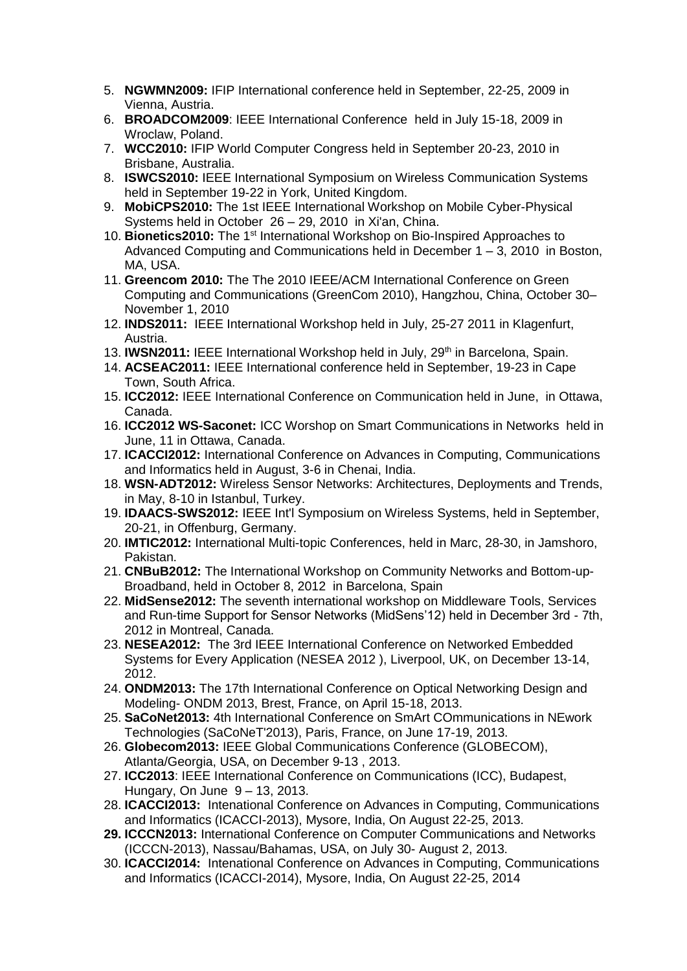- 5. **NGWMN2009:** IFIP International conference held in September, 22-25, 2009 in Vienna, Austria.
- 6. **BROADCOM2009**: IEEE International Conference held in July 15-18, 2009 in Wroclaw, Poland.
- 7. **WCC2010:** IFIP World Computer Congress held in September 20-23, 2010 in Brisbane, Australia.
- 8. **ISWCS2010:** IEEE International Symposium on Wireless Communication Systems held in September 19-22 in York, United Kingdom.
- 9. **MobiCPS2010:** The 1st IEEE International Workshop on Mobile Cyber-Physical Systems held in October 26 – 29, 2010 in Xi'an, China.
- 10. **Bionetics2010:** The 1st International Workshop on Bio-Inspired Approaches to Advanced Computing and Communications held in December 1 – 3, 2010 in Boston, MA, USA.
- 11. **Greencom 2010:** The The 2010 IEEE/ACM International Conference on Green Computing and Communications (GreenCom 2010), Hangzhou, China, October 30– November 1, 2010
- 12. **INDS2011:** IEEE International Workshop held in July, 25-27 2011 in Klagenfurt, Austria.
- 13. **IWSN2011:** IEEE International Workshop held in July, 29th in Barcelona, Spain.
- 14. **ACSEAC2011:** IEEE International conference held in September, 19-23 in Cape Town, South Africa.
- 15. **ICC2012:** IEEE International Conference on Communication held in June, in Ottawa, Canada.
- 16. **ICC2012 WS-Saconet:** ICC Worshop on Smart Communications in Networks held in June, 11 in Ottawa, Canada.
- 17. **ICACCI2012:** International Conference on Advances in Computing, Communications and Informatics held in August, 3-6 in Chenai, India.
- 18. **WSN-ADT2012:** Wireless Sensor Networks: Architectures, Deployments and Trends, in May, 8-10 in Istanbul, Turkey.
- 19. **IDAACS-SWS2012:** IEEE Int'l Symposium on Wireless Systems, held in September, 20-21, in Offenburg, Germany.
- 20. **IMTIC2012:** International Multi-topic Conferences, held in Marc, 28-30, in Jamshoro, Pakistan.
- 21. **CNBuB2012:** The International Workshop on Community Networks and Bottom-up-Broadband, held in October 8, 2012 in Barcelona, Spain
- 22. **MidSense2012:** The seventh international workshop on Middleware Tools, Services and Run-time Support for Sensor Networks (MidSens'12) held in December 3rd - 7th, 2012 in Montreal, Canada.
- 23. **NESEA2012:** The 3rd IEEE International Conference on Networked Embedded Systems for Every Application (NESEA 2012 ), Liverpool, UK, on December 13-14, 2012.
- 24. **ONDM2013:** The 17th International Conference on Optical Networking Design and Modeling- ONDM 2013, Brest, France, on April 15-18, 2013.
- 25. **SaCoNet2013:** 4th International Conference on SmArt COmmunications in NEwork Technologies (SaCoNeT'2013), Paris, France, on June 17-19, 2013.
- 26. **Globecom2013:** IEEE Global Communications Conference (GLOBECOM), Atlanta/Georgia, USA, on December 9-13 , 2013.
- 27. **ICC2013**: IEEE International Conference on Communications (ICC), Budapest, Hungary, On June 9 – 13, 2013.
- 28. **ICACCI2013:** Intenational Conference on Advances in Computing, Communications and Informatics (ICACCI-2013), Mysore, India, On August 22-25, 2013.
- **29. ICCCN2013:** International Conference on Computer Communications and Networks (ICCCN-2013), Nassau/Bahamas, USA, on July 30- August 2, 2013.
- 30. **ICACCI2014:** Intenational Conference on Advances in Computing, Communications and Informatics (ICACCI-2014), Mysore, India, On August 22-25, 2014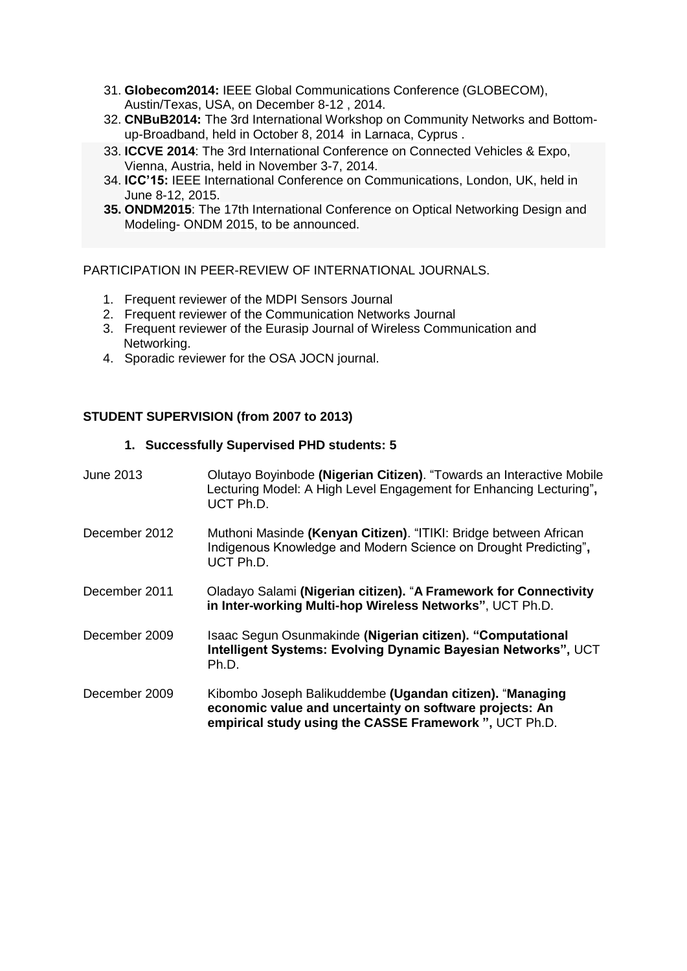- 31. **Globecom2014:** IEEE Global Communications Conference (GLOBECOM), Austin/Texas, USA, on December 8-12 , 2014.
- 32. **CNBuB2014:** The 3rd International Workshop on Community Networks and Bottomup-Broadband, held in October 8, 2014 in Larnaca, Cyprus .
- 33. **ICCVE 2014**: The 3rd International Conference on Connected Vehicles & Expo, Vienna, Austria, held in November 3-7, 2014.
- 34. **ICC'15:** IEEE International Conference on Communications, London, UK, held in June 8-12, 2015.
- **35. ONDM2015**: The 17th International Conference on Optical Networking Design and Modeling- ONDM 2015, to be announced.

PARTICIPATION IN PEER-REVIEW OF INTERNATIONAL JOURNALS.

- 1. Frequent reviewer of the MDPI Sensors Journal
- 2. Frequent reviewer of the Communication Networks Journal
- 3. Frequent reviewer of the Eurasip Journal of Wireless Communication and Networking.
- 4. Sporadic reviewer for the OSA JOCN journal.

### **STUDENT SUPERVISION (from 2007 to 2013)**

#### **1. Successfully Supervised PHD students: 5**

| June 2013     | Olutayo Boyinbode (Nigerian Citizen). "Towards an Interactive Mobile<br>Lecturing Model: A High Level Engagement for Enhancing Lecturing",<br>UCT Ph.D.                       |
|---------------|-------------------------------------------------------------------------------------------------------------------------------------------------------------------------------|
| December 2012 | Muthoni Masinde (Kenyan Citizen). "ITIKI: Bridge between African<br>Indigenous Knowledge and Modern Science on Drought Predicting",<br>UCT Ph.D.                              |
| December 2011 | Oladayo Salami (Nigerian citizen). "A Framework for Connectivity<br>in Inter-working Multi-hop Wireless Networks", UCT Ph.D.                                                  |
| December 2009 | Isaac Segun Osunmakinde (Nigerian citizen). "Computational<br>Intelligent Systems: Evolving Dynamic Bayesian Networks", UCT<br>Ph.D.                                          |
| December 2009 | Kibombo Joseph Balikuddembe (Ugandan citizen). "Managing<br>economic value and uncertainty on software projects: An<br>empirical study using the CASSE Framework ", UCT Ph.D. |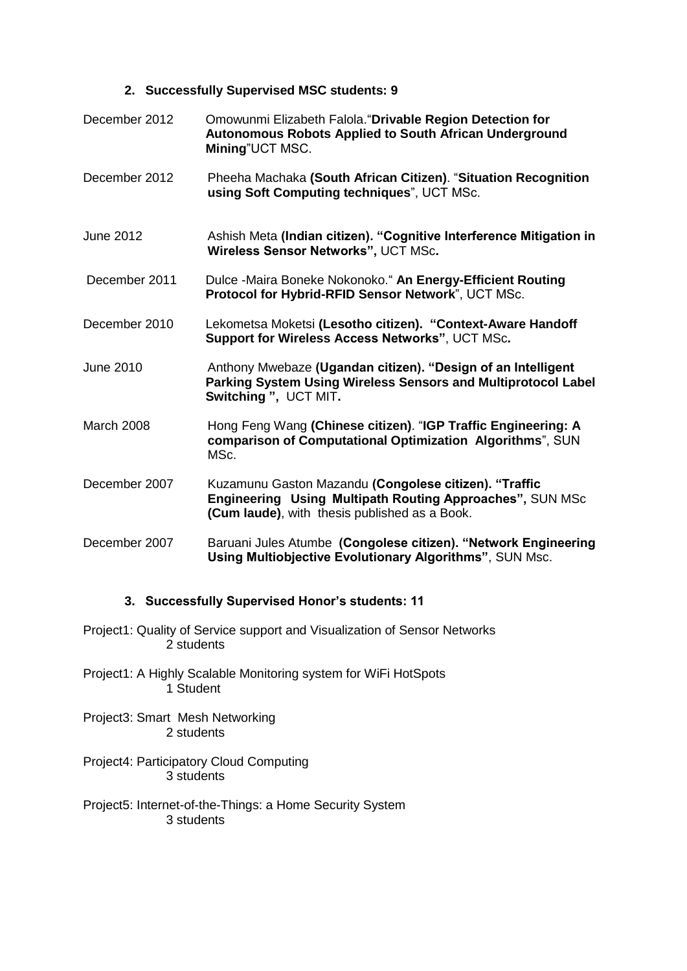### **2. Successfully Supervised MSC students: 9**

| December 2012     | Omowunmi Elizabeth Falola. "Drivable Region Detection for<br><b>Autonomous Robots Applied to South African Underground</b><br>Mining"UCT MSC.                      |
|-------------------|--------------------------------------------------------------------------------------------------------------------------------------------------------------------|
| December 2012     | Pheeha Machaka (South African Citizen). "Situation Recognition<br>using Soft Computing techniques", UCT MSc.                                                       |
| <b>June 2012</b>  | Ashish Meta (Indian citizen). "Cognitive Interference Mitigation in<br>Wireless Sensor Networks", UCT MSc.                                                         |
| December 2011     | Dulce -Maira Boneke Nokonoko." An Energy-Efficient Routing<br>Protocol for Hybrid-RFID Sensor Network", UCT MSc.                                                   |
| December 2010     | Lekometsa Moketsi (Lesotho citizen). "Context-Aware Handoff<br>Support for Wireless Access Networks", UCT MSc.                                                     |
| June 2010         | Anthony Mwebaze (Ugandan citizen). "Design of an Intelligent<br>Parking System Using Wireless Sensors and Multiprotocol Label<br>Switching ", UCT MIT.             |
| <b>March 2008</b> | Hong Feng Wang (Chinese citizen). "IGP Traffic Engineering: A<br>comparison of Computational Optimization Algorithms", SUN<br>MSc.                                 |
| December 2007     | Kuzamunu Gaston Mazandu (Congolese citizen). "Traffic<br>Engineering Using Multipath Routing Approaches", SUN MSc<br>(Cum laude), with thesis published as a Book. |
| December 2007     | Baruani Jules Atumbe (Congolese citizen). "Network Engineering<br><b>Using Multiobjective Evolutionary Algorithms", SUN Msc.</b>                                   |

# **3. Successfully Supervised Honor's students: 11**

- Project1: Quality of Service support and Visualization of Sensor Networks 2 students
- Project1: A Highly Scalable Monitoring system for WiFi HotSpots 1 Student

Project3: Smart Mesh Networking 2 students

Project4: Participatory Cloud Computing 3 students

Project5: Internet-of-the-Things: a Home Security System 3 students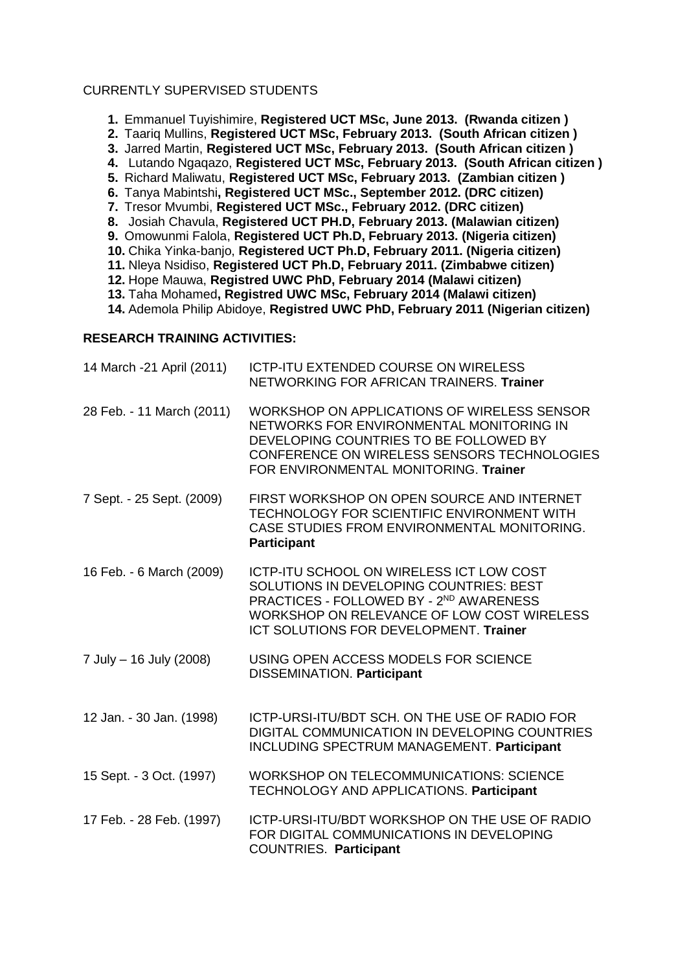#### CURRENTLY SUPERVISED STUDENTS

- **1.** Emmanuel Tuyishimire, **Registered UCT MSc, June 2013. (Rwanda citizen )**
- **2.** Taariq Mullins, **Registered UCT MSc, February 2013. (South African citizen )**
- **3.** Jarred Martin, **Registered UCT MSc, February 2013. (South African citizen )**
- **4.** Lutando Ngaqazo, **Registered UCT MSc, February 2013. (South African citizen )**
- **5.** Richard Maliwatu, **Registered UCT MSc, February 2013. (Zambian citizen )**
- **6.** Tanya Mabintshi**, Registered UCT MSc., September 2012. (DRC citizen)**
- **7.** Tresor Mvumbi, **Registered UCT MSc., February 2012. (DRC citizen)**
- **8.** Josiah Chavula, **Registered UCT PH.D, February 2013. (Malawian citizen)**
- **9.** Omowunmi Falola, **Registered UCT Ph.D, February 2013. (Nigeria citizen)**
- **10.** Chika Yinka-banjo, **Registered UCT Ph.D, February 2011. (Nigeria citizen)**
- **11.** Nleya Nsidiso, **Registered UCT Ph.D, February 2011. (Zimbabwe citizen)**
- **12.** Hope Mauwa, **Registred UWC PhD, February 2014 (Malawi citizen)**
- **13.** Taha Mohamed**, Registred UWC MSc, February 2014 (Malawi citizen)**
- **14.** Ademola Philip Abidoye, **Registred UWC PhD, February 2011 (Nigerian citizen)**

### **RESEARCH TRAINING ACTIVITIES:**

| 14 March -21 April (2011) | <b>ICTP-ITU EXTENDED COURSE ON WIRELESS</b><br>NETWORKING FOR AFRICAN TRAINERS. Trainer                                                                                                                                   |
|---------------------------|---------------------------------------------------------------------------------------------------------------------------------------------------------------------------------------------------------------------------|
| 28 Feb. - 11 March (2011) | WORKSHOP ON APPLICATIONS OF WIRELESS SENSOR<br>NETWORKS FOR ENVIRONMENTAL MONITORING IN<br>DEVELOPING COUNTRIES TO BE FOLLOWED BY<br>CONFERENCE ON WIRELESS SENSORS TECHNOLOGIES<br>FOR ENVIRONMENTAL MONITORING. Trainer |
| 7 Sept. - 25 Sept. (2009) | FIRST WORKSHOP ON OPEN SOURCE AND INTERNET<br>TECHNOLOGY FOR SCIENTIFIC ENVIRONMENT WITH<br>CASE STUDIES FROM ENVIRONMENTAL MONITORING.<br><b>Participant</b>                                                             |
| 16 Feb. - 6 March (2009)  | ICTP-ITU SCHOOL ON WIRELESS ICT LOW COST<br>SOLUTIONS IN DEVELOPING COUNTRIES: BEST<br>PRACTICES - FOLLOWED BY - 2ND AWARENESS<br>WORKSHOP ON RELEVANCE OF LOW COST WIRELESS<br>ICT SOLUTIONS FOR DEVELOPMENT. Trainer    |
| 7 July - 16 July (2008)   | USING OPEN ACCESS MODELS FOR SCIENCE<br><b>DISSEMINATION. Participant</b>                                                                                                                                                 |
| 12 Jan. - 30 Jan. (1998)  | ICTP-URSI-ITU/BDT SCH, ON THE USE OF RADIO FOR<br>DIGITAL COMMUNICATION IN DEVELOPING COUNTRIES<br><b>INCLUDING SPECTRUM MANAGEMENT. Participant</b>                                                                      |
| 15 Sept. - 3 Oct. (1997)  | <b>WORKSHOP ON TELECOMMUNICATIONS: SCIENCE</b><br>TECHNOLOGY AND APPLICATIONS. Participant                                                                                                                                |
| 17 Feb. - 28 Feb. (1997)  | ICTP-URSI-ITU/BDT WORKSHOP ON THE USE OF RADIO<br>FOR DIGITAL COMMUNICATIONS IN DEVELOPING<br><b>COUNTRIES. Participant</b>                                                                                               |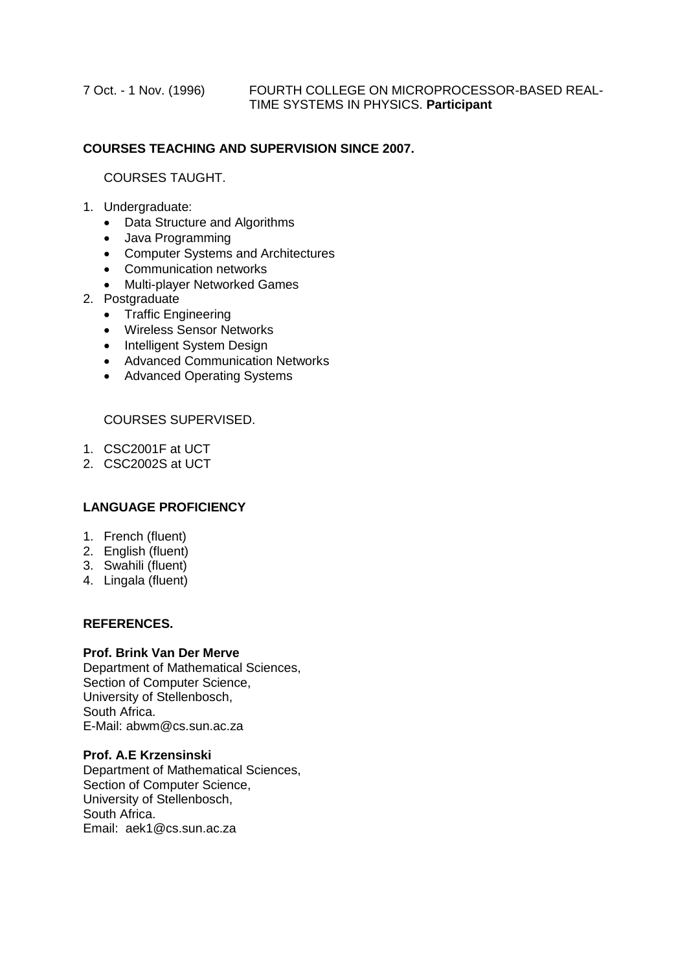# **COURSES TEACHING AND SUPERVISION SINCE 2007.**

### COURSES TAUGHT.

### 1. Undergraduate:

- Data Structure and Algorithms
- Java Programming
- Computer Systems and Architectures
- Communication networks
- Multi-player Networked Games
- 2. Postgraduate
	- Traffic Engineering
	- Wireless Sensor Networks
	- Intelligent System Design
	- Advanced Communication Networks
	- Advanced Operating Systems

#### COURSES SUPERVISED.

- 1. CSC2001F at UCT
- 2. CSC2002S at UCT

### **LANGUAGE PROFICIENCY**

- 1. French (fluent)
- 2. English (fluent)
- 3. Swahili (fluent)
- 4. Lingala (fluent)

#### **REFERENCES.**

#### **Prof. Brink Van Der Merve**

Department of Mathematical Sciences, Section of Computer Science, University of Stellenbosch, South Africa. E-Mail: abwm@cs.sun.ac.za

#### **Prof. A.E Krzensinski**

Department of Mathematical Sciences, Section of Computer Science, University of Stellenbosch, South Africa. Email: aek1@cs.sun.ac.za